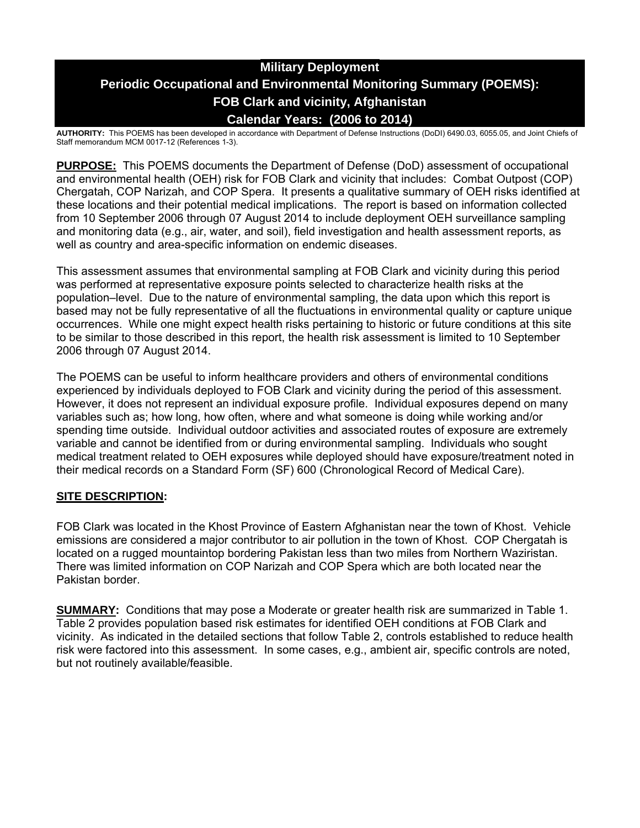# **Military Deployment Periodic Occupational and Environmental Monitoring Summary (POEMS): FOB Clark and vicinity, Afghanistan Calendar Years: (2006 to 2014)**

**AUTHORITY:** This POEMS has been developed in accordance with Department of Defense Instructions (DoDI) 6490.03, 6055.05, and Joint Chiefs of Staff memorandum MCM 0017-12 (References 1-3).

**PURPOSE:** This POEMS documents the Department of Defense (DoD) assessment of occupational and environmental health (OEH) risk for FOB Clark and vicinity that includes: Combat Outpost (COP) Chergatah, COP Narizah, and COP Spera. It presents a qualitative summary of OEH risks identified at these locations and their potential medical implications. The report is based on information collected from 10 September 2006 through 07 August 2014 to include deployment OEH surveillance sampling and monitoring data (e.g., air, water, and soil), field investigation and health assessment reports, as well as country and area-specific information on endemic diseases.

This assessment assumes that environmental sampling at FOB Clark and vicinity during this period was performed at representative exposure points selected to characterize health risks at the population–level. Due to the nature of environmental sampling, the data upon which this report is based may not be fully representative of all the fluctuations in environmental quality or capture unique occurrences. While one might expect health risks pertaining to historic or future conditions at this site to be similar to those described in this report, the health risk assessment is limited to 10 September 2006 through 07 August 2014.

The POEMS can be useful to inform healthcare providers and others of environmental conditions experienced by individuals deployed to FOB Clark and vicinity during the period of this assessment. However, it does not represent an individual exposure profile. Individual exposures depend on many variables such as; how long, how often, where and what someone is doing while working and/or spending time outside. Individual outdoor activities and associated routes of exposure are extremely variable and cannot be identified from or during environmental sampling. Individuals who sought medical treatment related to OEH exposures while deployed should have exposure/treatment noted in their medical records on a Standard Form (SF) 600 (Chronological Record of Medical Care).

## **SITE DESCRIPTION:**

FOB Clark was located in the Khost Province of Eastern Afghanistan near the town of Khost. Vehicle emissions are considered a major contributor to air pollution in the town of Khost. COP Chergatah is located on a rugged mountaintop bordering Pakistan less than two miles from Northern Waziristan. There was limited information on COP Narizah and COP Spera which are both located near the Pakistan border.

**SUMMARY:** Conditions that may pose a Moderate or greater health risk are summarized in Table 1. Table 2 provides population based risk estimates for identified OEH conditions at FOB Clark and vicinity. As indicated in the detailed sections that follow Table 2, controls established to reduce health risk were factored into this assessment. In some cases, e.g., ambient air, specific controls are noted, but not routinely available/feasible.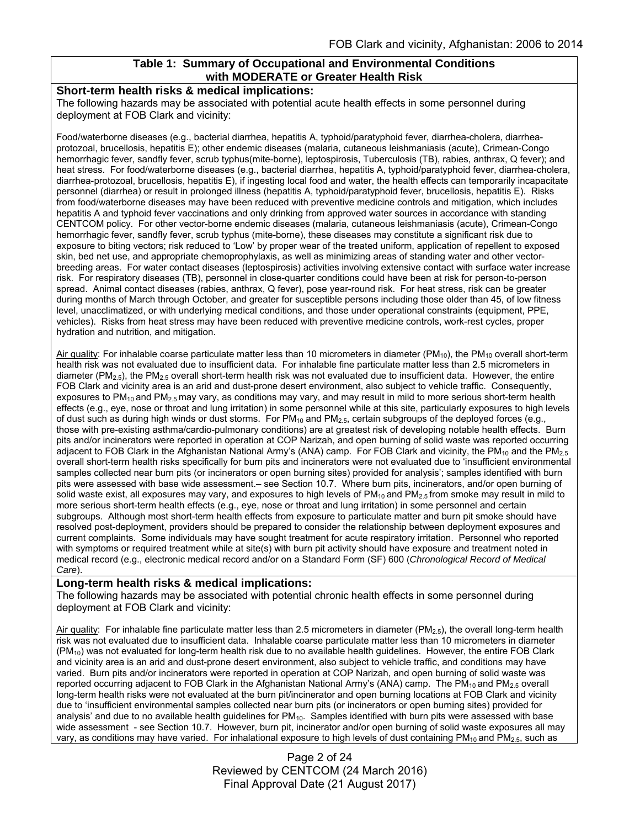### **Table 1: Summary of Occupational and Environmental Conditions with MODERATE or Greater Health Risk**

#### **Short-term health risks & medical implications:**

The following hazards may be associated with potential acute health effects in some personnel during deployment at FOB Clark and vicinity:

Food/waterborne diseases (e.g., bacterial diarrhea, hepatitis A, typhoid/paratyphoid fever, diarrhea-cholera, diarrheaprotozoal, brucellosis, hepatitis E); other endemic diseases (malaria, cutaneous leishmaniasis (acute), Crimean-Congo hemorrhagic fever, sandfly fever, scrub typhus(mite-borne), leptospirosis, Tuberculosis (TB), rabies, anthrax, Q fever); and heat stress. For food/waterborne diseases (e.g., bacterial diarrhea, hepatitis A, typhoid/paratyphoid fever, diarrhea-cholera, diarrhea-protozoal, brucellosis, hepatitis E), if ingesting local food and water, the health effects can temporarily incapacitate personnel (diarrhea) or result in prolonged illness (hepatitis A, typhoid/paratyphoid fever, brucellosis, hepatitis E). Risks from food/waterborne diseases may have been reduced with preventive medicine controls and mitigation, which includes hepatitis A and typhoid fever vaccinations and only drinking from approved water sources in accordance with standing CENTCOM policy. For other vector-borne endemic diseases (malaria, cutaneous leishmaniasis (acute), Crimean-Congo hemorrhagic fever, sandfly fever, scrub typhus (mite-borne), these diseases may constitute a significant risk due to exposure to biting vectors; risk reduced to 'Low' by proper wear of the treated uniform, application of repellent to exposed skin, bed net use, and appropriate chemoprophylaxis, as well as minimizing areas of standing water and other vectorbreeding areas. For water contact diseases (leptospirosis) activities involving extensive contact with surface water increase risk. For respiratory diseases (TB), personnel in close-quarter conditions could have been at risk for person-to-person spread. Animal contact diseases (rabies, anthrax, Q fever), pose year-round risk. For heat stress, risk can be greater during months of March through October, and greater for susceptible persons including those older than 45, of low fitness level, unacclimatized, or with underlying medical conditions, and those under operational constraints (equipment, PPE, vehicles). Risks from heat stress may have been reduced with preventive medicine controls, work-rest cycles, proper hydration and nutrition, and mitigation.

Air quality: For inhalable coarse particulate matter less than 10 micrometers in diameter ( $PM_{10}$ ), the  $PM_{10}$  overall short-term health risk was not evaluated due to insufficient data. For inhalable fine particulate matter less than 2.5 micrometers in diameter ( $PM_{2.5}$ ), the PM<sub>2.5</sub> overall short-term health risk was not evaluated due to insufficient data. However, the entire FOB Clark and vicinity area is an arid and dust-prone desert environment, also subject to vehicle traffic. Consequently, exposures to PM<sub>10</sub> and PM<sub>2.5</sub> may vary, as conditions may vary, and may result in mild to more serious short-term health effects (e.g., eye, nose or throat and lung irritation) in some personnel while at this site, particularly exposures to high levels of dust such as during high winds or dust storms. For PM<sub>10</sub> and PM<sub>2.5</sub>, certain subgroups of the deployed forces (e.g., those with pre-existing asthma/cardio-pulmonary conditions) are at greatest risk of developing notable health effects. Burn pits and/or incinerators were reported in operation at COP Narizah, and open burning of solid waste was reported occurring adjacent to FOB Clark in the Afghanistan National Army's (ANA) camp. For FOB Clark and vicinity, the PM<sub>10</sub> and the PM<sub>2.5</sub> overall short-term health risks specifically for burn pits and incinerators were not evaluated due to 'insufficient environmental samples collected near burn pits (or incinerators or open burning sites) provided for analysis'; samples identified with burn pits were assessed with base wide assessment.– see Section 10.7. Where burn pits, incinerators, and/or open burning of solid waste exist, all exposures may vary, and exposures to high levels of  $PM_{10}$  and  $PM_{2.5}$  from smoke may result in mild to more serious short-term health effects (e.g., eye, nose or throat and lung irritation) in some personnel and certain subgroups. Although most short-term health effects from exposure to particulate matter and burn pit smoke should have resolved post-deployment, providers should be prepared to consider the relationship between deployment exposures and current complaints. Some individuals may have sought treatment for acute respiratory irritation. Personnel who reported with symptoms or required treatment while at site(s) with burn pit activity should have exposure and treatment noted in medical record (e.g., electronic medical record and/or on a Standard Form (SF) 600 (*Chronological Record of Medical Care*).

#### **Long-term health risks & medical implications:**

The following hazards may be associated with potential chronic health effects in some personnel during deployment at FOB Clark and vicinity:

Air quality: For inhalable fine particulate matter less than 2.5 micrometers in diameter ( $PM_{2.5}$ ), the overall long-term health risk was not evaluated due to insufficient data. Inhalable coarse particulate matter less than 10 micrometers in diameter  $(PM_{10})$  was not evaluated for long-term health risk due to no available health guidelines. However, the entire FOB Clark and vicinity area is an arid and dust-prone desert environment, also subject to vehicle traffic, and conditions may have varied. Burn pits and/or incinerators were reported in operation at COP Narizah, and open burning of solid waste was reported occurring adjacent to FOB Clark in the Afghanistan National Army's (ANA) camp. The  $PM_{10}$  and  $PM_{2.5}$  overall long-term health risks were not evaluated at the burn pit/incinerator and open burning locations at FOB Clark and vicinity due to 'insufficient environmental samples collected near burn pits (or incinerators or open burning sites) provided for analysis' and due to no available health guidelines for  $PM_{10}$ . Samples identified with burn pits were assessed with base wide assessment - see Section 10.7. However, burn pit, incinerator and/or open burning of solid waste exposures all may vary, as conditions may have varied. For inhalational exposure to high levels of dust containing PM<sub>10</sub> and PM<sub>2.5</sub>, such as

> Page 2 of 24 Reviewed by CENTCOM (24 March 2016) Final Approval Date (21 August 2017)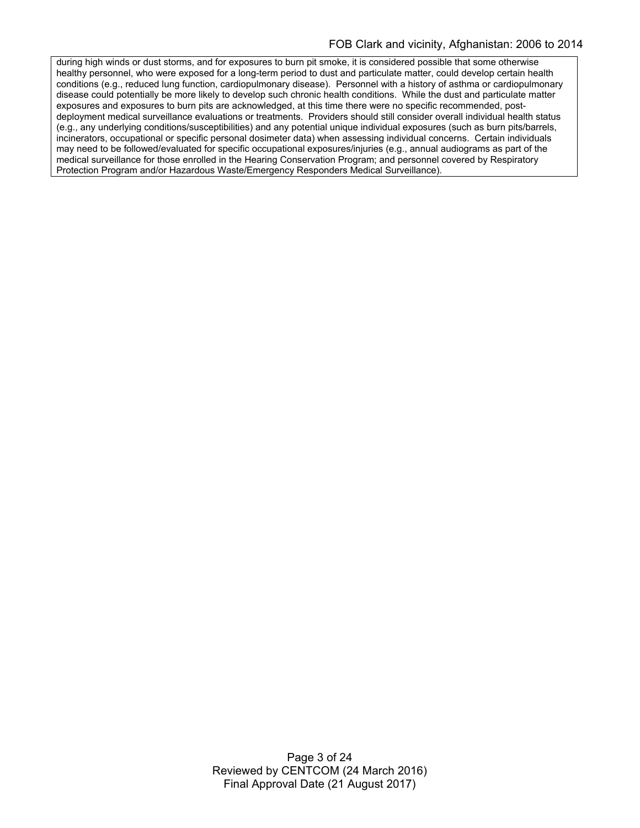during high winds or dust storms, and for exposures to burn pit smoke, it is considered possible that some otherwise healthy personnel, who were exposed for a long-term period to dust and particulate matter, could develop certain health conditions (e.g., reduced lung function, cardiopulmonary disease). Personnel with a history of asthma or cardiopulmonary disease could potentially be more likely to develop such chronic health conditions. While the dust and particulate matter exposures and exposures to burn pits are acknowledged, at this time there were no specific recommended, postdeployment medical surveillance evaluations or treatments. Providers should still consider overall individual health status (e.g., any underlying conditions/susceptibilities) and any potential unique individual exposures (such as burn pits/barrels, incinerators, occupational or specific personal dosimeter data) when assessing individual concerns. Certain individuals may need to be followed/evaluated for specific occupational exposures/injuries (e.g., annual audiograms as part of the medical surveillance for those enrolled in the Hearing Conservation Program; and personnel covered by Respiratory Protection Program and/or Hazardous Waste/Emergency Responders Medical Surveillance).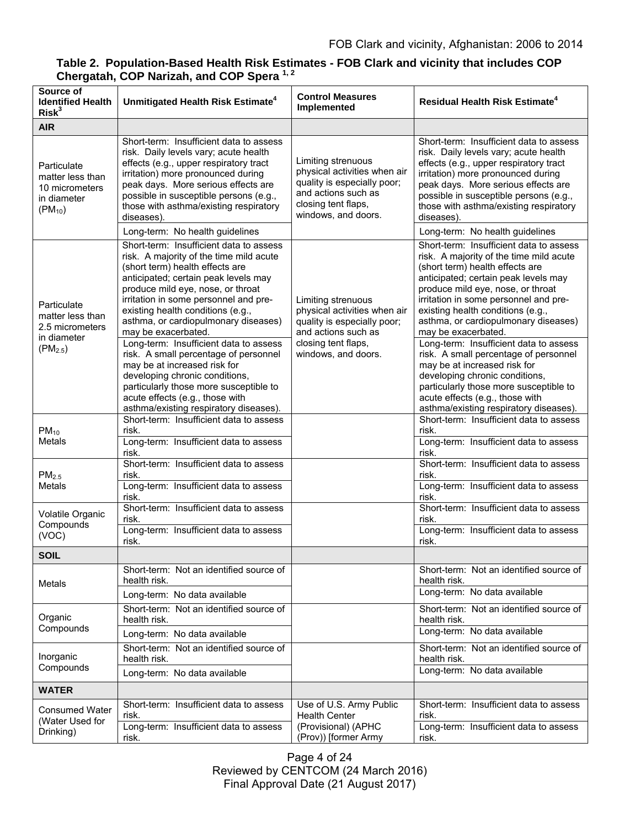| Table 2. Population-Based Health Risk Estimates - FOB Clark and vicinity that includes COP<br>Chergatah, COP Narizah, and COP Spera <sup>1,2</sup> |  |
|----------------------------------------------------------------------------------------------------------------------------------------------------|--|
|                                                                                                                                                    |  |

| Source of<br><b>Identified Health</b><br>Risk <sup>3</sup>                        | Unmitigated Health Risk Estimate <sup>4</sup>                                                                                                                                                                                                                                                                                                                                                                                                                                                                                                                                                                               | <b>Control Measures</b><br>Implemented                                                                                                                 | <b>Residual Health Risk Estimate<sup>4</sup></b>                                                                                                                                                                                                                                                                                                                                                                                                                                                                                                                                                                            |
|-----------------------------------------------------------------------------------|-----------------------------------------------------------------------------------------------------------------------------------------------------------------------------------------------------------------------------------------------------------------------------------------------------------------------------------------------------------------------------------------------------------------------------------------------------------------------------------------------------------------------------------------------------------------------------------------------------------------------------|--------------------------------------------------------------------------------------------------------------------------------------------------------|-----------------------------------------------------------------------------------------------------------------------------------------------------------------------------------------------------------------------------------------------------------------------------------------------------------------------------------------------------------------------------------------------------------------------------------------------------------------------------------------------------------------------------------------------------------------------------------------------------------------------------|
| <b>AIR</b>                                                                        |                                                                                                                                                                                                                                                                                                                                                                                                                                                                                                                                                                                                                             |                                                                                                                                                        |                                                                                                                                                                                                                                                                                                                                                                                                                                                                                                                                                                                                                             |
| Particulate<br>matter less than<br>10 micrometers<br>in diameter<br>$(PM_{10})$   | Short-term: Insufficient data to assess<br>risk. Daily levels vary; acute health<br>effects (e.g., upper respiratory tract<br>irritation) more pronounced during<br>peak days. More serious effects are<br>possible in susceptible persons (e.g.,<br>those with asthma/existing respiratory<br>diseases).                                                                                                                                                                                                                                                                                                                   | Limiting strenuous<br>physical activities when air<br>quality is especially poor;<br>and actions such as<br>closing tent flaps,<br>windows, and doors. | Short-term: Insufficient data to assess<br>risk. Daily levels vary; acute health<br>effects (e.g., upper respiratory tract<br>irritation) more pronounced during<br>peak days. More serious effects are<br>possible in susceptible persons (e.g.,<br>those with asthma/existing respiratory<br>diseases).                                                                                                                                                                                                                                                                                                                   |
|                                                                                   | Long-term: No health guidelines                                                                                                                                                                                                                                                                                                                                                                                                                                                                                                                                                                                             |                                                                                                                                                        | Long-term: No health guidelines                                                                                                                                                                                                                                                                                                                                                                                                                                                                                                                                                                                             |
| Particulate<br>matter less than<br>2.5 micrometers<br>in diameter<br>$(PM_{2.5})$ | Short-term: Insufficient data to assess<br>risk. A majority of the time mild acute<br>(short term) health effects are<br>anticipated; certain peak levels may<br>produce mild eye, nose, or throat<br>irritation in some personnel and pre-<br>existing health conditions (e.g.,<br>asthma, or cardiopulmonary diseases)<br>may be exacerbated.<br>Long-term: Insufficient data to assess<br>risk. A small percentage of personnel<br>may be at increased risk for<br>developing chronic conditions,<br>particularly those more susceptible to<br>acute effects (e.g., those with<br>asthma/existing respiratory diseases). | Limiting strenuous<br>physical activities when air<br>quality is especially poor;<br>and actions such as<br>closing tent flaps,<br>windows, and doors. | Short-term: Insufficient data to assess<br>risk. A majority of the time mild acute<br>(short term) health effects are<br>anticipated; certain peak levels may<br>produce mild eye, nose, or throat<br>irritation in some personnel and pre-<br>existing health conditions (e.g.,<br>asthma, or cardiopulmonary diseases)<br>may be exacerbated.<br>Long-term: Insufficient data to assess<br>risk. A small percentage of personnel<br>may be at increased risk for<br>developing chronic conditions,<br>particularly those more susceptible to<br>acute effects (e.g., those with<br>asthma/existing respiratory diseases). |
| $PM_{10}$<br><b>Metals</b>                                                        | Short-term: Insufficient data to assess<br>risk.<br>Long-term: Insufficient data to assess                                                                                                                                                                                                                                                                                                                                                                                                                                                                                                                                  |                                                                                                                                                        | Short-term: Insufficient data to assess<br>risk.<br>Long-term: Insufficient data to assess                                                                                                                                                                                                                                                                                                                                                                                                                                                                                                                                  |
|                                                                                   | risk.                                                                                                                                                                                                                                                                                                                                                                                                                                                                                                                                                                                                                       |                                                                                                                                                        | risk.                                                                                                                                                                                                                                                                                                                                                                                                                                                                                                                                                                                                                       |
| PM <sub>2.5</sub><br><b>Metals</b>                                                | Short-term: Insufficient data to assess<br>risk.<br>Long-term: Insufficient data to assess<br>risk.                                                                                                                                                                                                                                                                                                                                                                                                                                                                                                                         |                                                                                                                                                        | Short-term: Insufficient data to assess<br>risk.<br>Long-term: Insufficient data to assess<br>risk.                                                                                                                                                                                                                                                                                                                                                                                                                                                                                                                         |
| Volatile Organic<br>Compounds<br>(VOC)                                            | Short-term: Insufficient data to assess<br>risk.<br>Long-term: Insufficient data to assess<br>risk.                                                                                                                                                                                                                                                                                                                                                                                                                                                                                                                         |                                                                                                                                                        | Short-term: Insufficient data to assess<br>risk.<br>Long-term: Insufficient data to assess<br>risk.                                                                                                                                                                                                                                                                                                                                                                                                                                                                                                                         |
| SOIL                                                                              |                                                                                                                                                                                                                                                                                                                                                                                                                                                                                                                                                                                                                             |                                                                                                                                                        |                                                                                                                                                                                                                                                                                                                                                                                                                                                                                                                                                                                                                             |
| Metals                                                                            | Short-term: Not an identified source of<br>health risk.                                                                                                                                                                                                                                                                                                                                                                                                                                                                                                                                                                     |                                                                                                                                                        | Short-term: Not an identified source of<br>health risk.                                                                                                                                                                                                                                                                                                                                                                                                                                                                                                                                                                     |
|                                                                                   | Long-term: No data available                                                                                                                                                                                                                                                                                                                                                                                                                                                                                                                                                                                                |                                                                                                                                                        | Long-term: No data available                                                                                                                                                                                                                                                                                                                                                                                                                                                                                                                                                                                                |
| Organic<br>Compounds                                                              | Short-term: Not an identified source of<br>health risk.                                                                                                                                                                                                                                                                                                                                                                                                                                                                                                                                                                     |                                                                                                                                                        | Short-term: Not an identified source of<br>health risk.<br>Long-term: No data available                                                                                                                                                                                                                                                                                                                                                                                                                                                                                                                                     |
|                                                                                   | Long-term: No data available                                                                                                                                                                                                                                                                                                                                                                                                                                                                                                                                                                                                |                                                                                                                                                        |                                                                                                                                                                                                                                                                                                                                                                                                                                                                                                                                                                                                                             |
| Inorganic<br>Compounds                                                            | Short-term: Not an identified source of<br>health risk.                                                                                                                                                                                                                                                                                                                                                                                                                                                                                                                                                                     |                                                                                                                                                        | Short-term: Not an identified source of<br>health risk.<br>Long-term: No data available                                                                                                                                                                                                                                                                                                                                                                                                                                                                                                                                     |
|                                                                                   | Long-term: No data available                                                                                                                                                                                                                                                                                                                                                                                                                                                                                                                                                                                                |                                                                                                                                                        |                                                                                                                                                                                                                                                                                                                                                                                                                                                                                                                                                                                                                             |
| <b>WATER</b>                                                                      |                                                                                                                                                                                                                                                                                                                                                                                                                                                                                                                                                                                                                             |                                                                                                                                                        |                                                                                                                                                                                                                                                                                                                                                                                                                                                                                                                                                                                                                             |
| <b>Consumed Water</b><br>(Water Used for<br>Drinking)                             | Short-term: Insufficient data to assess<br>risk.                                                                                                                                                                                                                                                                                                                                                                                                                                                                                                                                                                            | Use of U.S. Army Public<br><b>Health Center</b>                                                                                                        | Short-term: Insufficient data to assess<br>risk.                                                                                                                                                                                                                                                                                                                                                                                                                                                                                                                                                                            |
|                                                                                   | Long-term: Insufficient data to assess<br>risk.                                                                                                                                                                                                                                                                                                                                                                                                                                                                                                                                                                             | (Provisional) (APHC<br>(Prov)) [former Army                                                                                                            | Long-term: Insufficient data to assess<br>risk.                                                                                                                                                                                                                                                                                                                                                                                                                                                                                                                                                                             |

Page 4 of 24 Reviewed by CENTCOM (24 March 2016) Final Approval Date (21 August 2017)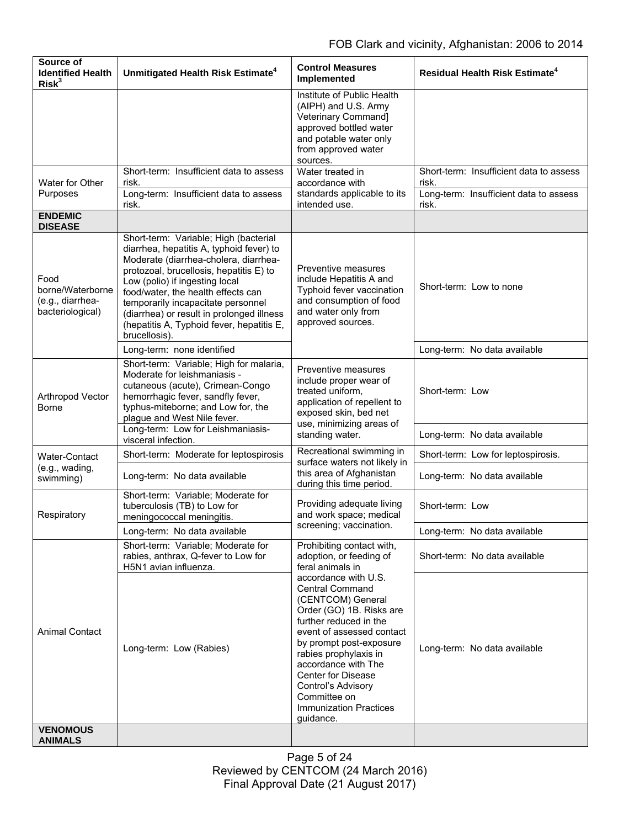| Source of<br><b>Identified Health</b><br>Risk <sup>3</sup>       | Unmitigated Health Risk Estimate <sup>4</sup>                                                                                                                                                                                                                                                                                                                                                  | <b>Control Measures</b><br><b>Implemented</b>                                                                                                                                                                                                                                                                                                                                                                           | <b>Residual Health Risk Estimate<sup>4</sup></b>                                                    |
|------------------------------------------------------------------|------------------------------------------------------------------------------------------------------------------------------------------------------------------------------------------------------------------------------------------------------------------------------------------------------------------------------------------------------------------------------------------------|-------------------------------------------------------------------------------------------------------------------------------------------------------------------------------------------------------------------------------------------------------------------------------------------------------------------------------------------------------------------------------------------------------------------------|-----------------------------------------------------------------------------------------------------|
|                                                                  |                                                                                                                                                                                                                                                                                                                                                                                                | Institute of Public Health<br>(AIPH) and U.S. Army<br>Veterinary Command]<br>approved bottled water<br>and potable water only<br>from approved water<br>sources.                                                                                                                                                                                                                                                        |                                                                                                     |
| Water for Other<br>Purposes                                      | Short-term: Insufficient data to assess<br>risk.<br>Long-term: Insufficient data to assess<br>risk.                                                                                                                                                                                                                                                                                            | Water treated in<br>accordance with<br>standards applicable to its<br>intended use.                                                                                                                                                                                                                                                                                                                                     | Short-term: Insufficient data to assess<br>risk.<br>Long-term: Insufficient data to assess<br>risk. |
| <b>ENDEMIC</b><br><b>DISEASE</b>                                 |                                                                                                                                                                                                                                                                                                                                                                                                |                                                                                                                                                                                                                                                                                                                                                                                                                         |                                                                                                     |
| Food<br>borne/Waterborne<br>(e.g., diarrhea-<br>bacteriological) | Short-term: Variable; High (bacterial<br>diarrhea, hepatitis A, typhoid fever) to<br>Moderate (diarrhea-cholera, diarrhea-<br>protozoal, brucellosis, hepatitis E) to<br>Low (polio) if ingesting local<br>food/water, the health effects can<br>temporarily incapacitate personnel<br>(diarrhea) or result in prolonged illness<br>(hepatitis A, Typhoid fever, hepatitis E,<br>brucellosis). | Preventive measures<br>include Hepatitis A and<br>Typhoid fever vaccination<br>and consumption of food<br>and water only from<br>approved sources.                                                                                                                                                                                                                                                                      | Short-term: Low to none                                                                             |
|                                                                  | Long-term: none identified                                                                                                                                                                                                                                                                                                                                                                     |                                                                                                                                                                                                                                                                                                                                                                                                                         | Long-term: No data available                                                                        |
| Arthropod Vector<br>Borne                                        | Short-term: Variable; High for malaria,<br>Moderate for leishmaniasis -<br>cutaneous (acute), Crimean-Congo<br>hemorrhagic fever, sandfly fever,<br>typhus-miteborne; and Low for, the<br>plague and West Nile fever.                                                                                                                                                                          | Preventive measures<br>include proper wear of<br>treated uniform,<br>application of repellent to<br>exposed skin, bed net<br>use, minimizing areas of<br>standing water.                                                                                                                                                                                                                                                | Short-term: Low                                                                                     |
|                                                                  | Long-term: Low for Leishmaniasis-<br>visceral infection.                                                                                                                                                                                                                                                                                                                                       |                                                                                                                                                                                                                                                                                                                                                                                                                         | Long-term: No data available                                                                        |
| <b>Water-Contact</b>                                             | Short-term: Moderate for leptospirosis                                                                                                                                                                                                                                                                                                                                                         | Recreational swimming in<br>surface waters not likely in<br>this area of Afghanistan<br>during this time period.                                                                                                                                                                                                                                                                                                        | Short-term: Low for leptospirosis.                                                                  |
| (e.g., wading,<br>swimming)                                      | Long-term: No data available                                                                                                                                                                                                                                                                                                                                                                   |                                                                                                                                                                                                                                                                                                                                                                                                                         | Long-term: No data available                                                                        |
| Respiratory                                                      | Short-term: Variable; Moderate for<br>tuberculosis (TB) to Low for<br>meningococcal meningitis.                                                                                                                                                                                                                                                                                                | Providing adequate living<br>and work space; medical<br>screening; vaccination.                                                                                                                                                                                                                                                                                                                                         | Short-term: Low                                                                                     |
|                                                                  | Long-term: No data available                                                                                                                                                                                                                                                                                                                                                                   |                                                                                                                                                                                                                                                                                                                                                                                                                         | Long-term: No data available                                                                        |
| <b>Animal Contact</b>                                            | Short-term: Variable; Moderate for<br>rabies, anthrax, Q-fever to Low for<br>H5N1 avian influenza.                                                                                                                                                                                                                                                                                             | Prohibiting contact with,<br>adoption, or feeding of<br>feral animals in<br>accordance with U.S.<br><b>Central Command</b><br>(CENTCOM) General<br>Order (GO) 1B. Risks are<br>further reduced in the<br>event of assessed contact<br>by prompt post-exposure<br>rabies prophylaxis in<br>accordance with The<br>Center for Disease<br>Control's Advisory<br>Committee on<br><b>Immunization Practices</b><br>guidance. | Short-term: No data available                                                                       |
|                                                                  | Long-term: Low (Rabies)                                                                                                                                                                                                                                                                                                                                                                        |                                                                                                                                                                                                                                                                                                                                                                                                                         | Long-term: No data available                                                                        |
| <b>VENOMOUS</b><br><b>ANIMALS</b>                                |                                                                                                                                                                                                                                                                                                                                                                                                |                                                                                                                                                                                                                                                                                                                                                                                                                         |                                                                                                     |

Page 5 of 24 Reviewed by CENTCOM (24 March 2016) Final Approval Date (21 August 2017)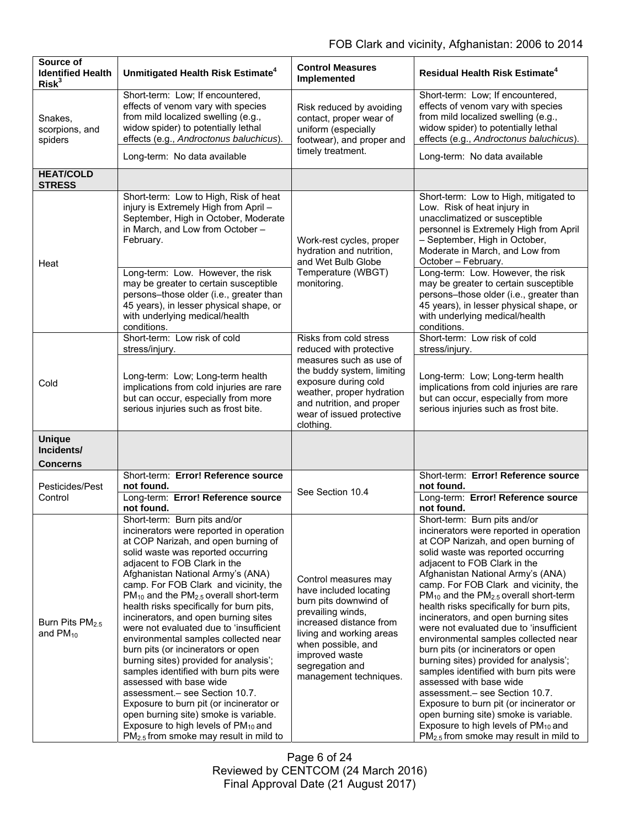| Source of<br><b>Identified Health</b><br>Risk <sup>3</sup> | Unmitigated Health Risk Estimate <sup>4</sup>                                                                                                                                                                                                                                                                                                                                                                                                                                                                                                                                                                                                                                                                                                                                                                                                                                         | <b>Control Measures</b><br>Implemented                                                                                                                                                                                                   | <b>Residual Health Risk Estimate<sup>4</sup></b>                                                                                                                                                                                                                                                                                                                                                                                                                                                                                                                                                                                                                                                                                                                                                                                                                       |
|------------------------------------------------------------|---------------------------------------------------------------------------------------------------------------------------------------------------------------------------------------------------------------------------------------------------------------------------------------------------------------------------------------------------------------------------------------------------------------------------------------------------------------------------------------------------------------------------------------------------------------------------------------------------------------------------------------------------------------------------------------------------------------------------------------------------------------------------------------------------------------------------------------------------------------------------------------|------------------------------------------------------------------------------------------------------------------------------------------------------------------------------------------------------------------------------------------|------------------------------------------------------------------------------------------------------------------------------------------------------------------------------------------------------------------------------------------------------------------------------------------------------------------------------------------------------------------------------------------------------------------------------------------------------------------------------------------------------------------------------------------------------------------------------------------------------------------------------------------------------------------------------------------------------------------------------------------------------------------------------------------------------------------------------------------------------------------------|
| Snakes,<br>scorpions, and<br>spiders                       | Short-term: Low; If encountered,<br>effects of venom vary with species<br>from mild localized swelling (e.g.,<br>widow spider) to potentially lethal<br>effects (e.g., Androctonus baluchicus).                                                                                                                                                                                                                                                                                                                                                                                                                                                                                                                                                                                                                                                                                       | Risk reduced by avoiding<br>contact, proper wear of<br>uniform (especially<br>footwear), and proper and                                                                                                                                  | Short-term: Low; If encountered,<br>effects of venom vary with species<br>from mild localized swelling (e.g.,<br>widow spider) to potentially lethal<br>effects (e.g., Androctonus baluchicus).                                                                                                                                                                                                                                                                                                                                                                                                                                                                                                                                                                                                                                                                        |
|                                                            | Long-term: No data available                                                                                                                                                                                                                                                                                                                                                                                                                                                                                                                                                                                                                                                                                                                                                                                                                                                          | timely treatment.                                                                                                                                                                                                                        | Long-term: No data available                                                                                                                                                                                                                                                                                                                                                                                                                                                                                                                                                                                                                                                                                                                                                                                                                                           |
| <b>HEAT/COLD</b><br><b>STRESS</b>                          |                                                                                                                                                                                                                                                                                                                                                                                                                                                                                                                                                                                                                                                                                                                                                                                                                                                                                       |                                                                                                                                                                                                                                          |                                                                                                                                                                                                                                                                                                                                                                                                                                                                                                                                                                                                                                                                                                                                                                                                                                                                        |
| Heat                                                       | Short-term: Low to High, Risk of heat<br>injury is Extremely High from April -<br>September, High in October, Moderate<br>in March, and Low from October -<br>February.                                                                                                                                                                                                                                                                                                                                                                                                                                                                                                                                                                                                                                                                                                               | Work-rest cycles, proper<br>hydration and nutrition,<br>and Wet Bulb Globe<br>Temperature (WBGT)<br>monitoring.                                                                                                                          | Short-term: Low to High, mitigated to<br>Low. Risk of heat injury in<br>unacclimatized or susceptible<br>personnel is Extremely High from April<br>- September, High in October,<br>Moderate in March, and Low from<br>October - February.                                                                                                                                                                                                                                                                                                                                                                                                                                                                                                                                                                                                                             |
|                                                            | Long-term: Low. However, the risk<br>may be greater to certain susceptible<br>persons-those older (i.e., greater than<br>45 years), in lesser physical shape, or<br>with underlying medical/health<br>conditions.                                                                                                                                                                                                                                                                                                                                                                                                                                                                                                                                                                                                                                                                     |                                                                                                                                                                                                                                          | Long-term: Low. However, the risk<br>may be greater to certain susceptible<br>persons-those older (i.e., greater than<br>45 years), in lesser physical shape, or<br>with underlying medical/health<br>conditions.                                                                                                                                                                                                                                                                                                                                                                                                                                                                                                                                                                                                                                                      |
| Cold                                                       | Short-term: Low risk of cold<br>stress/injury.                                                                                                                                                                                                                                                                                                                                                                                                                                                                                                                                                                                                                                                                                                                                                                                                                                        | Risks from cold stress<br>reduced with protective                                                                                                                                                                                        | Short-term: Low risk of cold<br>stress/injury.                                                                                                                                                                                                                                                                                                                                                                                                                                                                                                                                                                                                                                                                                                                                                                                                                         |
|                                                            | Long-term: Low; Long-term health<br>implications from cold injuries are rare<br>but can occur, especially from more<br>serious injuries such as frost bite.                                                                                                                                                                                                                                                                                                                                                                                                                                                                                                                                                                                                                                                                                                                           | measures such as use of<br>the buddy system, limiting<br>exposure during cold<br>weather, proper hydration<br>and nutrition, and proper<br>wear of issued protective<br>clothing.                                                        | Long-term: Low; Long-term health<br>implications from cold injuries are rare<br>but can occur, especially from more<br>serious injuries such as frost bite.                                                                                                                                                                                                                                                                                                                                                                                                                                                                                                                                                                                                                                                                                                            |
| <b>Unique</b><br>Incidents/<br><b>Concerns</b>             |                                                                                                                                                                                                                                                                                                                                                                                                                                                                                                                                                                                                                                                                                                                                                                                                                                                                                       |                                                                                                                                                                                                                                          |                                                                                                                                                                                                                                                                                                                                                                                                                                                                                                                                                                                                                                                                                                                                                                                                                                                                        |
| Pesticides/Pest                                            | Short-term: Error! Reference source<br>not found.                                                                                                                                                                                                                                                                                                                                                                                                                                                                                                                                                                                                                                                                                                                                                                                                                                     | See Section 10.4                                                                                                                                                                                                                         | Short-term: Error! Reference source<br>not found.                                                                                                                                                                                                                                                                                                                                                                                                                                                                                                                                                                                                                                                                                                                                                                                                                      |
| Control                                                    | Long-term: Error! Reference source<br>not found.                                                                                                                                                                                                                                                                                                                                                                                                                                                                                                                                                                                                                                                                                                                                                                                                                                      |                                                                                                                                                                                                                                          | Long-term: Error! Reference source<br>not found.                                                                                                                                                                                                                                                                                                                                                                                                                                                                                                                                                                                                                                                                                                                                                                                                                       |
| Burn Pits PM <sub>2.5</sub><br>and $PM_{10}$               | Short-term: Burn pits and/or<br>incinerators were reported in operation<br>at COP Narizah, and open burning of<br>solid waste was reported occurring<br>adjacent to FOB Clark in the<br>Afghanistan National Army's (ANA)<br>camp. For FOB Clark and vicinity, the<br>PM <sub>10</sub> and the PM <sub>2.5</sub> overall short-term<br>health risks specifically for burn pits,<br>incinerators, and open burning sites<br>were not evaluated due to 'insufficient<br>environmental samples collected near<br>burn pits (or incinerators or open<br>burning sites) provided for analysis';<br>samples identified with burn pits were<br>assessed with base wide<br>assessment .- see Section 10.7.<br>Exposure to burn pit (or incinerator or<br>open burning site) smoke is variable.<br>Exposure to high levels of PM <sub>10</sub> and<br>$PM2.5$ from smoke may result in mild to | Control measures may<br>have included locating<br>burn pits downwind of<br>prevailing winds,<br>increased distance from<br>living and working areas<br>when possible, and<br>improved waste<br>segregation and<br>management techniques. | Short-term: Burn pits and/or<br>incinerators were reported in operation<br>at COP Narizah, and open burning of<br>solid waste was reported occurring<br>adjacent to FOB Clark in the<br>Afghanistan National Army's (ANA)<br>camp. For FOB Clark and vicinity, the<br>$PM_{10}$ and the $PM_{2.5}$ overall short-term<br>health risks specifically for burn pits,<br>incinerators, and open burning sites<br>were not evaluated due to 'insufficient<br>environmental samples collected near<br>burn pits (or incinerators or open<br>burning sites) provided for analysis';<br>samples identified with burn pits were<br>assessed with base wide<br>assessment.- see Section 10.7.<br>Exposure to burn pit (or incinerator or<br>open burning site) smoke is variable.<br>Exposure to high levels of PM <sub>10</sub> and<br>$PM2.5$ from smoke may result in mild to |

Page 6 of 24 Reviewed by CENTCOM (24 March 2016) Final Approval Date (21 August 2017)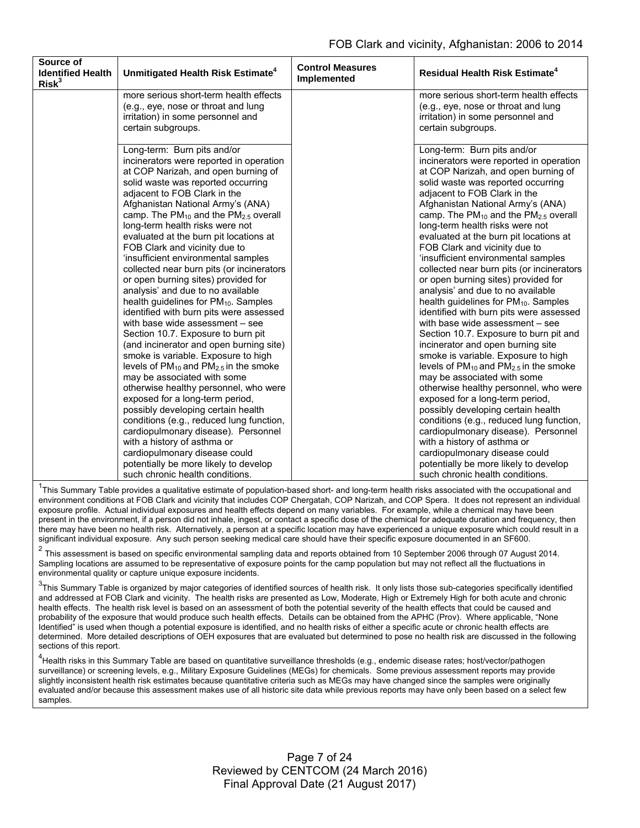| Source of<br><b>Identified Health</b><br>Risk <sup>3</sup> | Unmitigated Health Risk Estimate <sup>4</sup>                                                                                                                                                                                                                                                                                                                                                                                                                                                                                                                                                                                                                                                                                                                                                                                                                                                                                                                                                                                                                                                                                                                                                                                                         | <b>Control Measures</b><br>Implemented | <b>Residual Health Risk Estimate<sup>4</sup></b>                                                                                                                                                                                                                                                                                                                                                                                                                                                                                                                                                                                                                                                                                                                                                                                                                                                                                                                                                                                                                                                                                                                                                                                                    |
|------------------------------------------------------------|-------------------------------------------------------------------------------------------------------------------------------------------------------------------------------------------------------------------------------------------------------------------------------------------------------------------------------------------------------------------------------------------------------------------------------------------------------------------------------------------------------------------------------------------------------------------------------------------------------------------------------------------------------------------------------------------------------------------------------------------------------------------------------------------------------------------------------------------------------------------------------------------------------------------------------------------------------------------------------------------------------------------------------------------------------------------------------------------------------------------------------------------------------------------------------------------------------------------------------------------------------|----------------------------------------|-----------------------------------------------------------------------------------------------------------------------------------------------------------------------------------------------------------------------------------------------------------------------------------------------------------------------------------------------------------------------------------------------------------------------------------------------------------------------------------------------------------------------------------------------------------------------------------------------------------------------------------------------------------------------------------------------------------------------------------------------------------------------------------------------------------------------------------------------------------------------------------------------------------------------------------------------------------------------------------------------------------------------------------------------------------------------------------------------------------------------------------------------------------------------------------------------------------------------------------------------------|
|                                                            | more serious short-term health effects<br>(e.g., eye, nose or throat and lung<br>irritation) in some personnel and<br>certain subgroups.                                                                                                                                                                                                                                                                                                                                                                                                                                                                                                                                                                                                                                                                                                                                                                                                                                                                                                                                                                                                                                                                                                              |                                        | more serious short-term health effects<br>(e.g., eye, nose or throat and lung<br>irritation) in some personnel and<br>certain subgroups.                                                                                                                                                                                                                                                                                                                                                                                                                                                                                                                                                                                                                                                                                                                                                                                                                                                                                                                                                                                                                                                                                                            |
|                                                            | Long-term: Burn pits and/or<br>incinerators were reported in operation<br>at COP Narizah, and open burning of<br>solid waste was reported occurring<br>adjacent to FOB Clark in the<br>Afghanistan National Army's (ANA)<br>camp. The $PM_{10}$ and the $PM_{2.5}$ overall<br>long-term health risks were not<br>evaluated at the burn pit locations at<br>FOB Clark and vicinity due to<br>'insufficient environmental samples<br>collected near burn pits (or incinerators<br>or open burning sites) provided for<br>analysis' and due to no available<br>health guidelines for PM <sub>10</sub> . Samples<br>identified with burn pits were assessed<br>with base wide assessment - see<br>Section 10.7. Exposure to burn pit<br>(and incinerator and open burning site)<br>smoke is variable. Exposure to high<br>levels of $PM_{10}$ and $PM_{2.5}$ in the smoke<br>may be associated with some<br>otherwise healthy personnel, who were<br>exposed for a long-term period,<br>possibly developing certain health<br>conditions (e.g., reduced lung function,<br>cardiopulmonary disease). Personnel<br>with a history of asthma or<br>cardiopulmonary disease could<br>potentially be more likely to develop<br>such chronic health conditions. |                                        | Long-term: Burn pits and/or<br>incinerators were reported in operation<br>at COP Narizah, and open burning of<br>solid waste was reported occurring<br>adjacent to FOB Clark in the<br>Afghanistan National Army's (ANA)<br>camp. The $PM_{10}$ and the $PM_{2.5}$ overall<br>long-term health risks were not<br>evaluated at the burn pit locations at<br>FOB Clark and vicinity due to<br>'insufficient environmental samples<br>collected near burn pits (or incinerators<br>or open burning sites) provided for<br>analysis' and due to no available<br>health guidelines for PM <sub>10</sub> . Samples<br>identified with burn pits were assessed<br>with base wide assessment - see<br>Section 10.7. Exposure to burn pit and<br>incinerator and open burning site<br>smoke is variable. Exposure to high<br>levels of $PM_{10}$ and $PM_{2.5}$ in the smoke<br>may be associated with some<br>otherwise healthy personnel, who were<br>exposed for a long-term period,<br>possibly developing certain health<br>conditions (e.g., reduced lung function,<br>cardiopulmonary disease). Personnel<br>with a history of asthma or<br>cardiopulmonary disease could<br>potentially be more likely to develop<br>such chronic health conditions. |

<sup>1</sup>This Summary Table provides a qualitative estimate of population-based short- and long-term health risks associated with the occupational and environment conditions at FOB Clark and vicinity that includes COP Chergatah, COP Narizah, and COP Spera. It does not represent an individual exposure profile. Actual individual exposures and health effects depend on many variables. For example, while a chemical may have been present in the environment, if a person did not inhale, ingest, or contact a specific dose of the chemical for adequate duration and frequency, then there may have been no health risk. Alternatively, a person at a specific location may have experienced a unique exposure which could result in a significant individual exposure. Any such person seeking medical care should have their specific exposure documented in an SF600.

<sup>2</sup> This assessment is based on specific environmental sampling data and reports obtained from 10 September 2006 through 07 August 2014. Sampling locations are assumed to be representative of exposure points for the camp population but may not reflect all the fluctuations in environmental quality or capture unique exposure incidents.

 $3$ This Summary Table is organized by major categories of identified sources of health risk. It only lists those sub-categories specifically identified and addressed at FOB Clark and vicinity. The health risks are presented as Low, Moderate, High or Extremely High for both acute and chronic health effects. The health risk level is based on an assessment of both the potential severity of the health effects that could be caused and probability of the exposure that would produce such health effects. Details can be obtained from the APHC (Prov). Where applicable, "None Identified" is used when though a potential exposure is identified, and no health risks of either a specific acute or chronic health effects are determined. More detailed descriptions of OEH exposures that are evaluated but determined to pose no health risk are discussed in the following sections of this report.

<sup>4</sup>Health risks in this Summary Table are based on quantitative surveillance thresholds (e.g., endemic disease rates; host/vector/pathogen surveillance) or screening levels, e.g., Military Exposure Guidelines (MEGs) for chemicals. Some previous assessment reports may provide slightly inconsistent health risk estimates because quantitative criteria such as MEGs may have changed since the samples were originally evaluated and/or because this assessment makes use of all historic site data while previous reports may have only been based on a select few samples.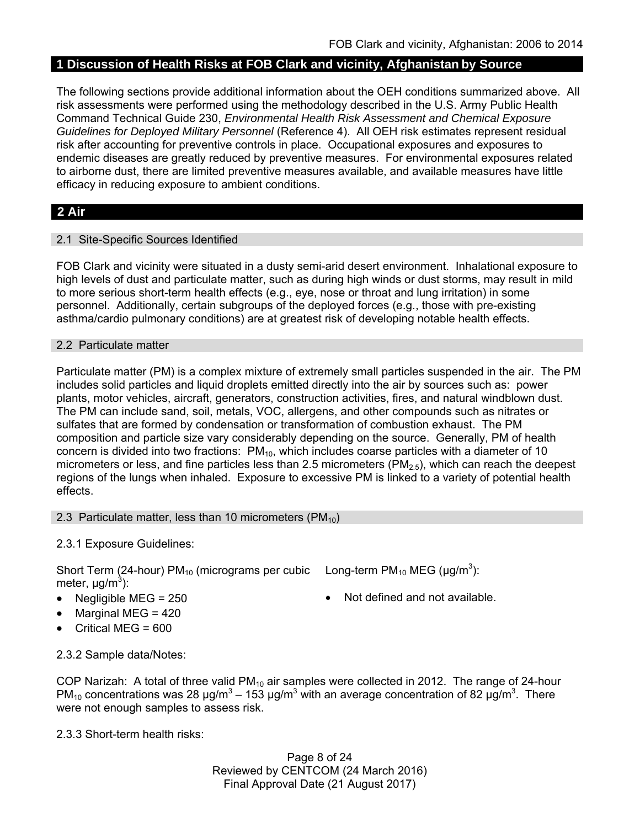# **1 Discussion of Health Risks at FOB Clark and vicinity, Afghanistan by Source**

The following sections provide additional information about the OEH conditions summarized above. All risk assessments were performed using the methodology described in the U.S. Army Public Health Command Technical Guide 230, *Environmental Health Risk Assessment and Chemical Exposure Guidelines for Deployed Military Personnel* (Reference 4). All OEH risk estimates represent residual risk after accounting for preventive controls in place. Occupational exposures and exposures to endemic diseases are greatly reduced by preventive measures. For environmental exposures related to airborne dust, there are limited preventive measures available, and available measures have little efficacy in reducing exposure to ambient conditions.

# **2 Air**

## 2.1 Site-Specific Sources Identified

FOB Clark and vicinity were situated in a dusty semi-arid desert environment. Inhalational exposure to high levels of dust and particulate matter, such as during high winds or dust storms, may result in mild to more serious short-term health effects (e.g., eye, nose or throat and lung irritation) in some personnel. Additionally, certain subgroups of the deployed forces (e.g., those with pre-existing asthma/cardio pulmonary conditions) are at greatest risk of developing notable health effects.

### 2.2 Particulate matter

Particulate matter (PM) is a complex mixture of extremely small particles suspended in the air. The PM includes solid particles and liquid droplets emitted directly into the air by sources such as: power plants, motor vehicles, aircraft, generators, construction activities, fires, and natural windblown dust. The PM can include sand, soil, metals, VOC, allergens, and other compounds such as nitrates or sulfates that are formed by condensation or transformation of combustion exhaust. The PM composition and particle size vary considerably depending on the source. Generally, PM of health concern is divided into two fractions:  $PM_{10}$ , which includes coarse particles with a diameter of 10 micrometers or less, and fine particles less than 2.5 micrometers ( $PM<sub>2.5</sub>$ ), which can reach the deepest regions of the lungs when inhaled. Exposure to excessive PM is linked to a variety of potential health effects.

#### 2.3 Particulate matter, less than 10 micrometers  $(PM_{10})$

## 2.3.1 Exposure Guidelines:

Short Term (24-hour) PM<sub>10</sub> (micrograms per cubic Long-term PM<sub>10</sub> MEG ( $\mu$ g/m<sup>3</sup>): meter, μg/m<sup>3</sup>):

- Negligible MEG =  $250$   $\bullet$  Not defined and not available.
- $\bullet$  Marginal MEG = 420
- Critical MEG = 600

2.3.2 Sample data/Notes:

COP Narizah: A total of three valid PM<sub>10</sub> air samples were collected in 2012. The range of 24-hour PM<sub>10</sub> concentrations was 28  $\mu$ g/m<sup>3</sup> – 153  $\mu$ g/m<sup>3</sup> with an average concentration of 82  $\mu$ g/m<sup>3</sup>. There were not enough samples to assess risk.

2.3.3 Short-term health risks:

Page 8 of 24 Reviewed by CENTCOM (24 March 2016) Final Approval Date (21 August 2017)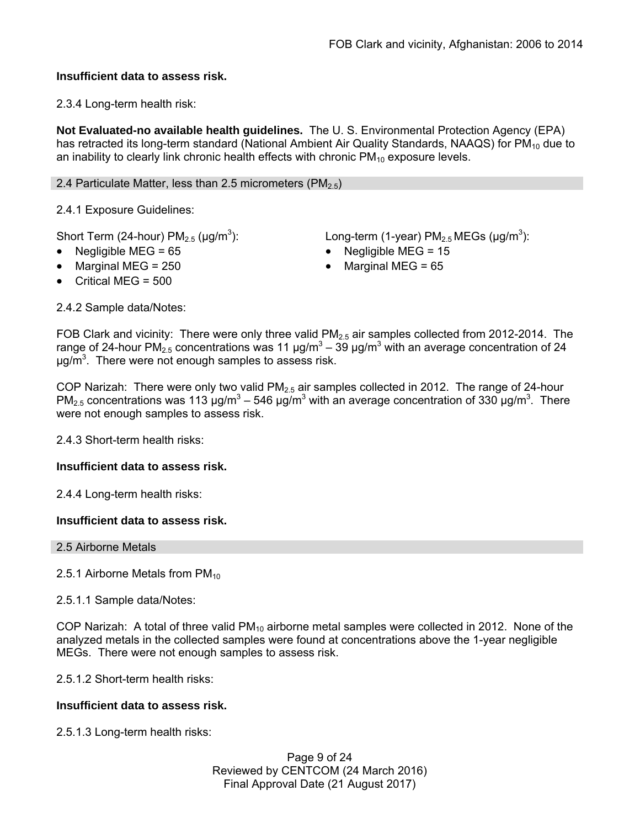## **Insufficient data to assess risk.**

2.3.4 Long-term health risk:

**Not Evaluated-no available health guidelines.** The U. S. Environmental Protection Agency (EPA) has retracted its long-term standard (National Ambient Air Quality Standards, NAAQS) for PM<sub>10</sub> due to an inability to clearly link chronic health effects with chronic  $PM_{10}$  exposure levels.

2.4 Particulate Matter, less than 2.5 micrometers (PM $_{2.5}$ )

2.4.1 Exposure Guidelines:

Short Term (24-hour)  $PM<sub>2.5</sub>$  ( $\mu$ g/m<sup>3</sup>):

): Long-term (1-year)  $PM_{2.5}$  MEGs ( $\mu$ g/m<sup>3</sup>):

- Negligible MEG = 65 Negligible MEG = 15
	- Marginal MEG =  $250$   $\bullet$  Marginal MEG =  $65$
- Critical MEG = 500

2.4.2 Sample data/Notes:

FOB Clark and vicinity: There were only three valid  $PM<sub>2.5</sub>$  air samples collected from 2012-2014. The range of 24-hour PM<sub>2.5</sub> concentrations was 11  $\mu$ g/m<sup>3</sup> – 39  $\mu$ g/m<sup>3</sup> with an average concentration of 24  $\mu$ g/m<sup>3</sup>. There were not enough samples to assess risk.

COP Narizah: There were only two valid  $PM<sub>2.5</sub>$  air samples collected in 2012. The range of 24-hour PM<sub>2.5</sub> concentrations was 113  $\mu$ g/m<sup>3</sup> – 546  $\mu$ g/m<sup>3</sup> with an average concentration of 330  $\mu$ g/m<sup>3</sup>. There were not enough samples to assess risk.

2.4.3 Short-term health risks:

## **Insufficient data to assess risk.**

2.4.4 Long-term health risks:

## **Insufficient data to assess risk.**

2.5 Airborne Metals

2.5.1 Airborne Metals from  $PM_{10}$ 

2.5.1.1 Sample data/Notes:

COP Narizah: A total of three valid  $PM_{10}$  airborne metal samples were collected in 2012. None of the analyzed metals in the collected samples were found at concentrations above the 1-year negligible MEGs. There were not enough samples to assess risk.

2.5.1.2 Short-term health risks:

## **Insufficient data to assess risk.**

2.5.1.3 Long-term health risks:

Page 9 of 24 Reviewed by CENTCOM (24 March 2016) Final Approval Date (21 August 2017)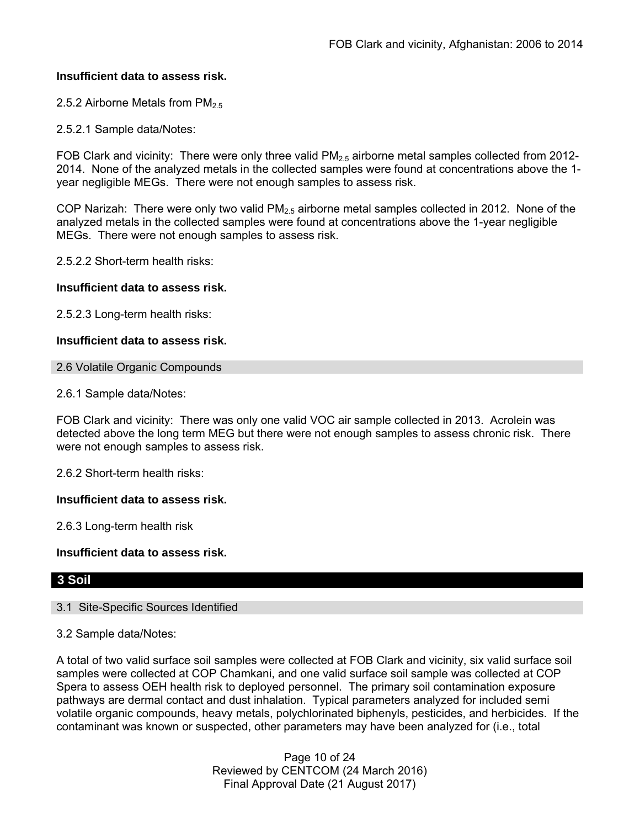### **Insufficient data to assess risk.**

2.5.2 Airborne Metals from  $PM<sub>2.5</sub>$ 

2.5.2.1 Sample data/Notes:

FOB Clark and vicinity: There were only three valid  $PM_{2.5}$  airborne metal samples collected from 2012-2014. None of the analyzed metals in the collected samples were found at concentrations above the 1 year negligible MEGs. There were not enough samples to assess risk.

COP Narizah: There were only two valid  $PM_{2.5}$  airborne metal samples collected in 2012. None of the analyzed metals in the collected samples were found at concentrations above the 1-year negligible MEGs. There were not enough samples to assess risk.

2.5.2.2 Short-term health risks:

### **Insufficient data to assess risk.**

2.5.2.3 Long-term health risks:

### **Insufficient data to assess risk.**

2.6 Volatile Organic Compounds

2.6.1 Sample data/Notes:

FOB Clark and vicinity: There was only one valid VOC air sample collected in 2013. Acrolein was detected above the long term MEG but there were not enough samples to assess chronic risk. There were not enough samples to assess risk.

2.6.2 Short-term health risks:

#### **Insufficient data to assess risk.**

2.6.3 Long-term health risk

**Insufficient data to assess risk.** 

## **3 Soil**

#### 3.1 Site-Specific Sources Identified

#### 3.2 Sample data/Notes:

A total of two valid surface soil samples were collected at FOB Clark and vicinity, six valid surface soil samples were collected at COP Chamkani, and one valid surface soil sample was collected at COP Spera to assess OEH health risk to deployed personnel. The primary soil contamination exposure pathways are dermal contact and dust inhalation. Typical parameters analyzed for included semi volatile organic compounds, heavy metals, polychlorinated biphenyls, pesticides, and herbicides. If the contaminant was known or suspected, other parameters may have been analyzed for (i.e., total

> Page 10 of 24 Reviewed by CENTCOM (24 March 2016) Final Approval Date (21 August 2017)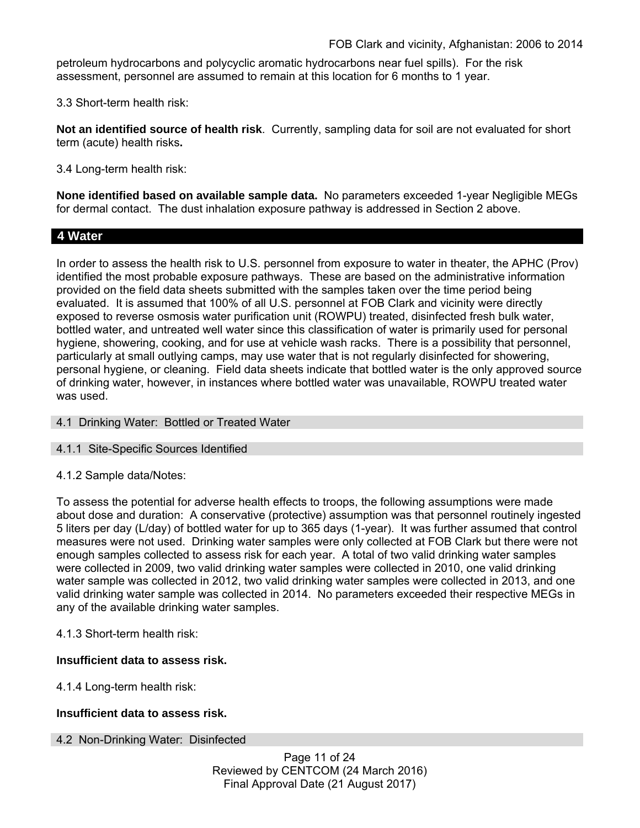petroleum hydrocarbons and polycyclic aromatic hydrocarbons near fuel spills). For the risk assessment, personnel are assumed to remain at this location for 6 months to 1 year.

3.3 Short-term health risk:

**Not an identified source of health risk**. Currently, sampling data for soil are not evaluated for short term (acute) health risks**.**

3.4 Long-term health risk:

**None identified based on available sample data.** No parameters exceeded 1-year Negligible MEGs for dermal contact. The dust inhalation exposure pathway is addressed in Section 2 above.

# **4 Water**

In order to assess the health risk to U.S. personnel from exposure to water in theater, the APHC (Prov) identified the most probable exposure pathways. These are based on the administrative information provided on the field data sheets submitted with the samples taken over the time period being evaluated. It is assumed that 100% of all U.S. personnel at FOB Clark and vicinity were directly exposed to reverse osmosis water purification unit (ROWPU) treated, disinfected fresh bulk water, bottled water, and untreated well water since this classification of water is primarily used for personal hygiene, showering, cooking, and for use at vehicle wash racks. There is a possibility that personnel, particularly at small outlying camps, may use water that is not regularly disinfected for showering, personal hygiene, or cleaning. Field data sheets indicate that bottled water is the only approved source of drinking water, however, in instances where bottled water was unavailable, ROWPU treated water was used.

## 4.1 Drinking Water: Bottled or Treated Water

#### 4.1.1 Site-Specific Sources Identified

## 4.1.2 Sample data/Notes:

To assess the potential for adverse health effects to troops, the following assumptions were made about dose and duration: A conservative (protective) assumption was that personnel routinely ingested 5 liters per day (L/day) of bottled water for up to 365 days (1-year). It was further assumed that control measures were not used. Drinking water samples were only collected at FOB Clark but there were not enough samples collected to assess risk for each year. A total of two valid drinking water samples were collected in 2009, two valid drinking water samples were collected in 2010, one valid drinking water sample was collected in 2012, two valid drinking water samples were collected in 2013, and one valid drinking water sample was collected in 2014. No parameters exceeded their respective MEGs in any of the available drinking water samples.

## 4.1.3 Short-term health risk:

#### **Insufficient data to assess risk.**

4.1.4 Long-term health risk:

## **Insufficient data to assess risk.**

#### 4.2 Non-Drinking Water: Disinfected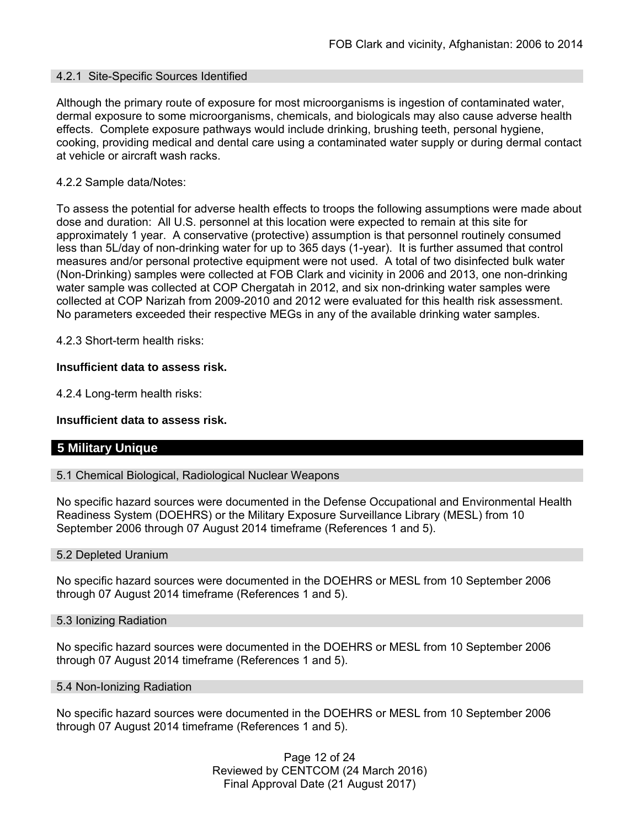#### 4.2.1 Site-Specific Sources Identified

Although the primary route of exposure for most microorganisms is ingestion of contaminated water, dermal exposure to some microorganisms, chemicals, and biologicals may also cause adverse health effects. Complete exposure pathways would include drinking, brushing teeth, personal hygiene, cooking, providing medical and dental care using a contaminated water supply or during dermal contact at vehicle or aircraft wash racks.

#### 4.2.2 Sample data/Notes:

To assess the potential for adverse health effects to troops the following assumptions were made about dose and duration: All U.S. personnel at this location were expected to remain at this site for approximately 1 year. A conservative (protective) assumption is that personnel routinely consumed less than 5L/day of non-drinking water for up to 365 days (1-year). It is further assumed that control measures and/or personal protective equipment were not used. A total of two disinfected bulk water (Non-Drinking) samples were collected at FOB Clark and vicinity in 2006 and 2013, one non-drinking water sample was collected at COP Chergatah in 2012, and six non-drinking water samples were collected at COP Narizah from 2009-2010 and 2012 were evaluated for this health risk assessment. No parameters exceeded their respective MEGs in any of the available drinking water samples.

4.2.3 Short-term health risks:

#### **Insufficient data to assess risk.**

4.2.4 Long-term health risks:

#### **Insufficient data to assess risk.**

#### **5 Military Unique**

#### 5.1 Chemical Biological, Radiological Nuclear Weapons

No specific hazard sources were documented in the Defense Occupational and Environmental Health Readiness System (DOEHRS) or the Military Exposure Surveillance Library (MESL) from 10 September 2006 through 07 August 2014 timeframe (References 1 and 5).

#### 5.2 Depleted Uranium

No specific hazard sources were documented in the DOEHRS or MESL from 10 September 2006 through 07 August 2014 timeframe (References 1 and 5).

#### 5.3 Ionizing Radiation

No specific hazard sources were documented in the DOEHRS or MESL from 10 September 2006 through 07 August 2014 timeframe (References 1 and 5).

#### 5.4 Non-Ionizing Radiation

No specific hazard sources were documented in the DOEHRS or MESL from 10 September 2006 through 07 August 2014 timeframe (References 1 and 5).

> Page 12 of 24 Reviewed by CENTCOM (24 March 2016) Final Approval Date (21 August 2017)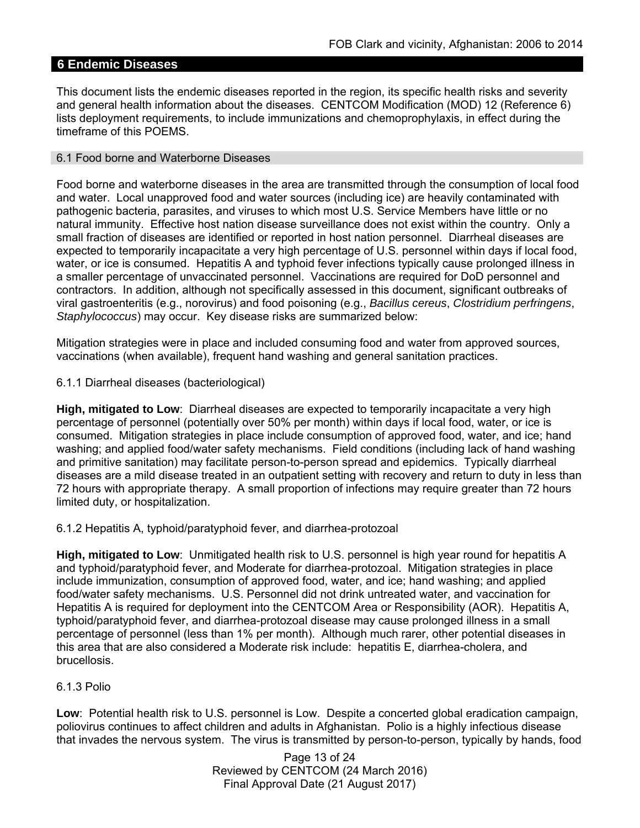# **6 Endemic Diseases**

This document lists the endemic diseases reported in the region, its specific health risks and severity and general health information about the diseases. CENTCOM Modification (MOD) 12 (Reference 6) lists deployment requirements, to include immunizations and chemoprophylaxis, in effect during the timeframe of this POEMS.

### 6.1 Food borne and Waterborne Diseases

Food borne and waterborne diseases in the area are transmitted through the consumption of local food and water. Local unapproved food and water sources (including ice) are heavily contaminated with pathogenic bacteria, parasites, and viruses to which most U.S. Service Members have little or no natural immunity. Effective host nation disease surveillance does not exist within the country. Only a small fraction of diseases are identified or reported in host nation personnel. Diarrheal diseases are expected to temporarily incapacitate a very high percentage of U.S. personnel within days if local food, water, or ice is consumed. Hepatitis A and typhoid fever infections typically cause prolonged illness in a smaller percentage of unvaccinated personnel. Vaccinations are required for DoD personnel and contractors. In addition, although not specifically assessed in this document, significant outbreaks of viral gastroenteritis (e.g., norovirus) and food poisoning (e.g., *Bacillus cereus*, *Clostridium perfringens*, *Staphylococcus*) may occur. Key disease risks are summarized below:

Mitigation strategies were in place and included consuming food and water from approved sources, vaccinations (when available), frequent hand washing and general sanitation practices.

6.1.1 Diarrheal diseases (bacteriological)

**High, mitigated to Low**: Diarrheal diseases are expected to temporarily incapacitate a very high percentage of personnel (potentially over 50% per month) within days if local food, water, or ice is consumed. Mitigation strategies in place include consumption of approved food, water, and ice; hand washing; and applied food/water safety mechanisms. Field conditions (including lack of hand washing and primitive sanitation) may facilitate person-to-person spread and epidemics. Typically diarrheal diseases are a mild disease treated in an outpatient setting with recovery and return to duty in less than 72 hours with appropriate therapy. A small proportion of infections may require greater than 72 hours limited duty, or hospitalization.

6.1.2 Hepatitis A, typhoid/paratyphoid fever, and diarrhea-protozoal

**High, mitigated to Low**: Unmitigated health risk to U.S. personnel is high year round for hepatitis A and typhoid/paratyphoid fever, and Moderate for diarrhea-protozoal. Mitigation strategies in place include immunization, consumption of approved food, water, and ice; hand washing; and applied food/water safety mechanisms. U.S. Personnel did not drink untreated water, and vaccination for Hepatitis A is required for deployment into the CENTCOM Area or Responsibility (AOR). Hepatitis A, typhoid/paratyphoid fever, and diarrhea-protozoal disease may cause prolonged illness in a small percentage of personnel (less than 1% per month). Although much rarer, other potential diseases in this area that are also considered a Moderate risk include: hepatitis E, diarrhea-cholera, and brucellosis.

## 6.1.3 Polio

**Low**: Potential health risk to U.S. personnel is Low. Despite a concerted global eradication campaign, poliovirus continues to affect children and adults in Afghanistan. Polio is a highly infectious disease that invades the nervous system. The virus is transmitted by person-to-person, typically by hands, food

> Page 13 of 24 Reviewed by CENTCOM (24 March 2016) Final Approval Date (21 August 2017)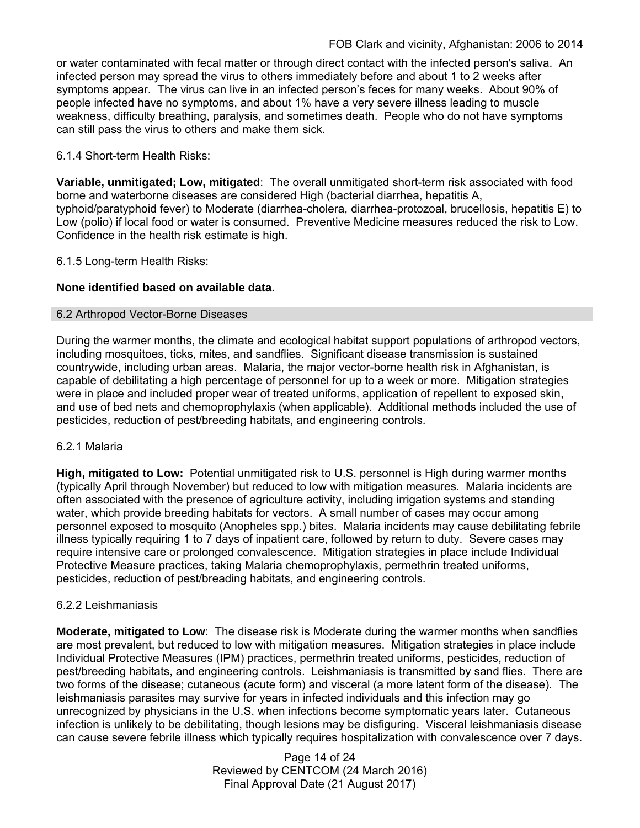or water contaminated with fecal matter or through direct contact with the infected person's saliva. An infected person may spread the virus to others immediately before and about 1 to 2 weeks after symptoms appear. The virus can live in an infected person's feces for many weeks. About 90% of people infected have no symptoms, and about 1% have a very severe illness leading to muscle weakness, difficulty breathing, paralysis, and sometimes death. People who do not have symptoms can still pass the virus to others and make them sick.

## 6.1.4 Short-term Health Risks:

**Variable, unmitigated; Low, mitigated**: The overall unmitigated short-term risk associated with food borne and waterborne diseases are considered High (bacterial diarrhea, hepatitis A, typhoid/paratyphoid fever) to Moderate (diarrhea-cholera, diarrhea-protozoal, brucellosis, hepatitis E) to Low (polio) if local food or water is consumed. Preventive Medicine measures reduced the risk to Low. Confidence in the health risk estimate is high.

## 6.1.5 Long-term Health Risks:

# **None identified based on available data.**

## 6.2 Arthropod Vector-Borne Diseases

During the warmer months, the climate and ecological habitat support populations of arthropod vectors, including mosquitoes, ticks, mites, and sandflies. Significant disease transmission is sustained countrywide, including urban areas. Malaria, the major vector-borne health risk in Afghanistan, is capable of debilitating a high percentage of personnel for up to a week or more. Mitigation strategies were in place and included proper wear of treated uniforms, application of repellent to exposed skin, and use of bed nets and chemoprophylaxis (when applicable). Additional methods included the use of pesticides, reduction of pest/breeding habitats, and engineering controls.

## 6.2.1 Malaria

**High, mitigated to Low:** Potential unmitigated risk to U.S. personnel is High during warmer months (typically April through November) but reduced to low with mitigation measures. Malaria incidents are often associated with the presence of agriculture activity, including irrigation systems and standing water, which provide breeding habitats for vectors. A small number of cases may occur among personnel exposed to mosquito (Anopheles spp.) bites. Malaria incidents may cause debilitating febrile illness typically requiring 1 to 7 days of inpatient care, followed by return to duty. Severe cases may require intensive care or prolonged convalescence. Mitigation strategies in place include Individual Protective Measure practices, taking Malaria chemoprophylaxis, permethrin treated uniforms, pesticides, reduction of pest/breading habitats, and engineering controls.

#### 6.2.2 Leishmaniasis

**Moderate, mitigated to Low**: The disease risk is Moderate during the warmer months when sandflies are most prevalent, but reduced to low with mitigation measures. Mitigation strategies in place include Individual Protective Measures (IPM) practices, permethrin treated uniforms, pesticides, reduction of pest/breeding habitats, and engineering controls. Leishmaniasis is transmitted by sand flies. There are two forms of the disease; cutaneous (acute form) and visceral (a more latent form of the disease). The leishmaniasis parasites may survive for years in infected individuals and this infection may go unrecognized by physicians in the U.S. when infections become symptomatic years later. Cutaneous infection is unlikely to be debilitating, though lesions may be disfiguring. Visceral leishmaniasis disease can cause severe febrile illness which typically requires hospitalization with convalescence over 7 days.

> Page 14 of 24 Reviewed by CENTCOM (24 March 2016) Final Approval Date (21 August 2017)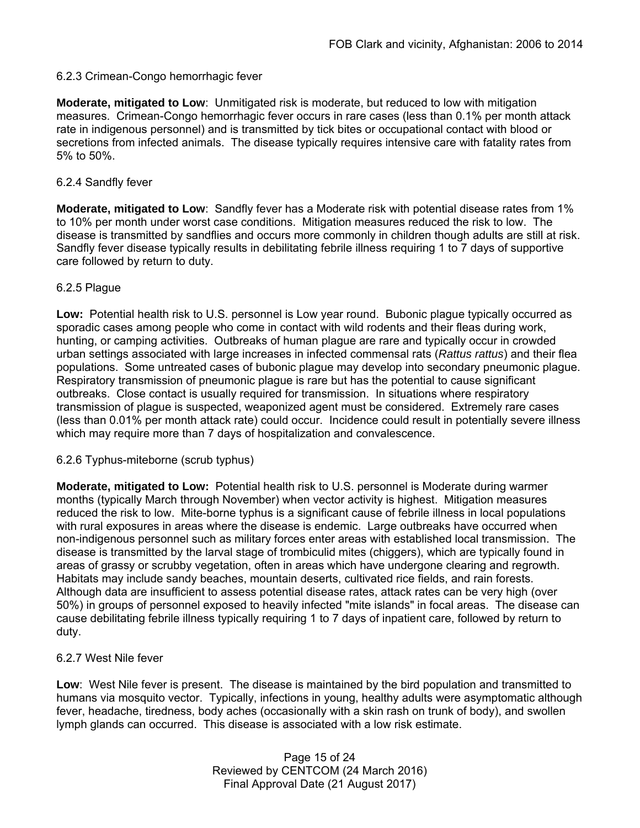# 6.2.3 Crimean-Congo hemorrhagic fever

**Moderate, mitigated to Low**: Unmitigated risk is moderate, but reduced to low with mitigation measures. Crimean-Congo hemorrhagic fever occurs in rare cases (less than 0.1% per month attack rate in indigenous personnel) and is transmitted by tick bites or occupational contact with blood or secretions from infected animals. The disease typically requires intensive care with fatality rates from 5% to 50%.

# 6.2.4 Sandfly fever

**Moderate, mitigated to Low**: Sandfly fever has a Moderate risk with potential disease rates from 1% to 10% per month under worst case conditions. Mitigation measures reduced the risk to low. The disease is transmitted by sandflies and occurs more commonly in children though adults are still at risk. Sandfly fever disease typically results in debilitating febrile illness requiring 1 to 7 days of supportive care followed by return to duty.

# 6.2.5 Plague

**Low:** Potential health risk to U.S. personnel is Low year round. Bubonic plague typically occurred as sporadic cases among people who come in contact with wild rodents and their fleas during work, hunting, or camping activities. Outbreaks of human plague are rare and typically occur in crowded urban settings associated with large increases in infected commensal rats (*Rattus rattus*) and their flea populations. Some untreated cases of bubonic plague may develop into secondary pneumonic plague. Respiratory transmission of pneumonic plague is rare but has the potential to cause significant outbreaks. Close contact is usually required for transmission. In situations where respiratory transmission of plague is suspected, weaponized agent must be considered. Extremely rare cases (less than 0.01% per month attack rate) could occur. Incidence could result in potentially severe illness which may require more than 7 days of hospitalization and convalescence.

## 6.2.6 Typhus-miteborne (scrub typhus)

**Moderate, mitigated to Low:** Potential health risk to U.S. personnel is Moderate during warmer months (typically March through November) when vector activity is highest. Mitigation measures reduced the risk to low. Mite-borne typhus is a significant cause of febrile illness in local populations with rural exposures in areas where the disease is endemic. Large outbreaks have occurred when non-indigenous personnel such as military forces enter areas with established local transmission. The disease is transmitted by the larval stage of trombiculid mites (chiggers), which are typically found in areas of grassy or scrubby vegetation, often in areas which have undergone clearing and regrowth. Habitats may include sandy beaches, mountain deserts, cultivated rice fields, and rain forests. Although data are insufficient to assess potential disease rates, attack rates can be very high (over 50%) in groups of personnel exposed to heavily infected "mite islands" in focal areas. The disease can cause debilitating febrile illness typically requiring 1 to 7 days of inpatient care, followed by return to duty.

## 6.2.7 West Nile fever

**Low**: West Nile fever is present. The disease is maintained by the bird population and transmitted to humans via mosquito vector. Typically, infections in young, healthy adults were asymptomatic although fever, headache, tiredness, body aches (occasionally with a skin rash on trunk of body), and swollen lymph glands can occurred. This disease is associated with a low risk estimate.

> Page 15 of 24 Reviewed by CENTCOM (24 March 2016) Final Approval Date (21 August 2017)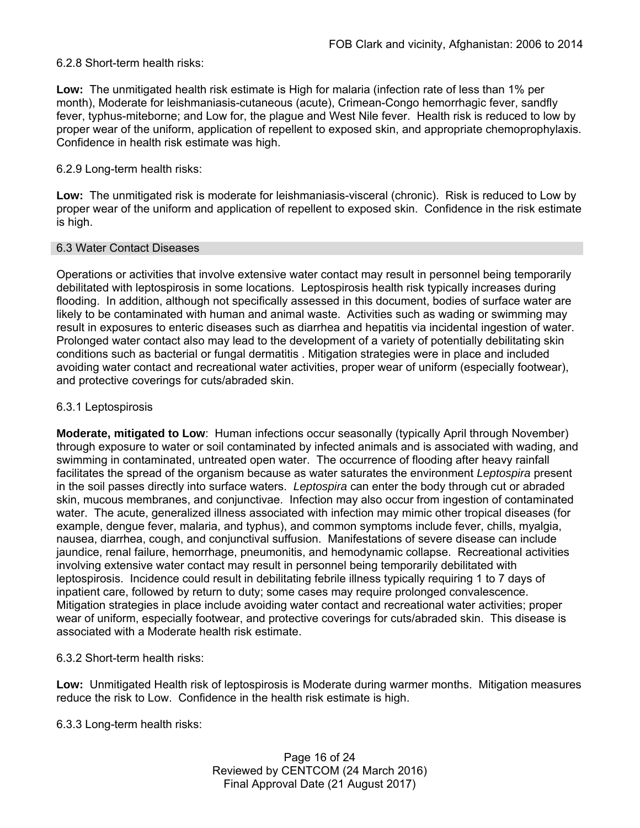### 6.2.8 Short-term health risks:

**Low:** The unmitigated health risk estimate is High for malaria (infection rate of less than 1% per month), Moderate for leishmaniasis-cutaneous (acute), Crimean-Congo hemorrhagic fever, sandfly fever, typhus-miteborne; and Low for, the plague and West Nile fever. Health risk is reduced to low by proper wear of the uniform, application of repellent to exposed skin, and appropriate chemoprophylaxis. Confidence in health risk estimate was high.

### 6.2.9 Long-term health risks:

**Low:** The unmitigated risk is moderate for leishmaniasis-visceral (chronic). Risk is reduced to Low by proper wear of the uniform and application of repellent to exposed skin. Confidence in the risk estimate is high.

#### 6.3 Water Contact Diseases

Operations or activities that involve extensive water contact may result in personnel being temporarily debilitated with leptospirosis in some locations. Leptospirosis health risk typically increases during flooding. In addition, although not specifically assessed in this document, bodies of surface water are likely to be contaminated with human and animal waste. Activities such as wading or swimming may result in exposures to enteric diseases such as diarrhea and hepatitis via incidental ingestion of water. Prolonged water contact also may lead to the development of a variety of potentially debilitating skin conditions such as bacterial or fungal dermatitis . Mitigation strategies were in place and included avoiding water contact and recreational water activities, proper wear of uniform (especially footwear), and protective coverings for cuts/abraded skin.

### 6.3.1 Leptospirosis

**Moderate, mitigated to Low**: Human infections occur seasonally (typically April through November) through exposure to water or soil contaminated by infected animals and is associated with wading, and swimming in contaminated, untreated open water. The occurrence of flooding after heavy rainfall facilitates the spread of the organism because as water saturates the environment *Leptospira* present in the soil passes directly into surface waters. *Leptospira* can enter the body through cut or abraded skin, mucous membranes, and conjunctivae. Infection may also occur from ingestion of contaminated water. The acute, generalized illness associated with infection may mimic other tropical diseases (for example, dengue fever, malaria, and typhus), and common symptoms include fever, chills, myalgia, nausea, diarrhea, cough, and conjunctival suffusion. Manifestations of severe disease can include jaundice, renal failure, hemorrhage, pneumonitis, and hemodynamic collapse. Recreational activities involving extensive water contact may result in personnel being temporarily debilitated with leptospirosis. Incidence could result in debilitating febrile illness typically requiring 1 to 7 days of inpatient care, followed by return to duty; some cases may require prolonged convalescence. Mitigation strategies in place include avoiding water contact and recreational water activities; proper wear of uniform, especially footwear, and protective coverings for cuts/abraded skin. This disease is associated with a Moderate health risk estimate.

6.3.2 Short-term health risks:

**Low:** Unmitigated Health risk of leptospirosis is Moderate during warmer months. Mitigation measures reduce the risk to Low. Confidence in the health risk estimate is high.

6.3.3 Long-term health risks: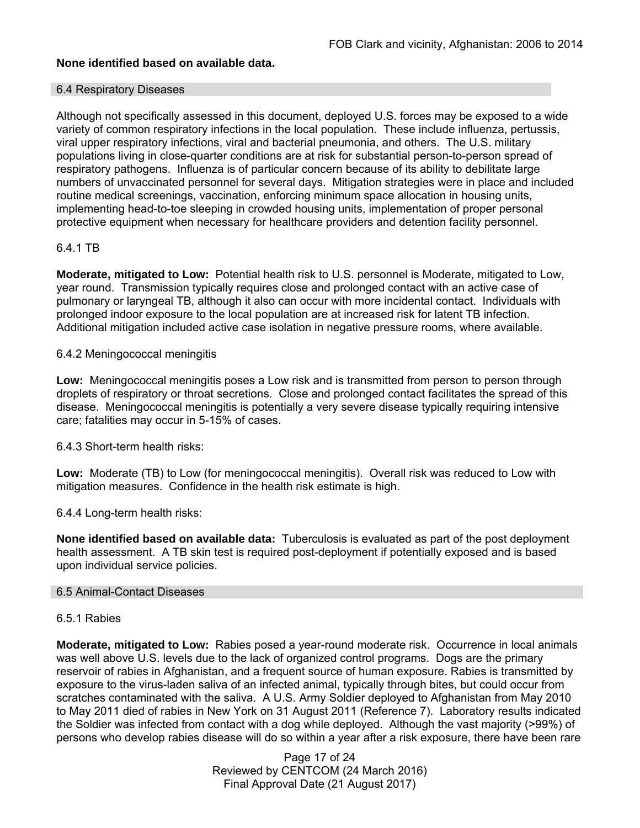# **None identified based on available data.**

#### 6.4 Respiratory Diseases

Although not specifically assessed in this document, deployed U.S. forces may be exposed to a wide variety of common respiratory infections in the local population. These include influenza, pertussis, viral upper respiratory infections, viral and bacterial pneumonia, and others. The U.S. military populations living in close-quarter conditions are at risk for substantial person-to-person spread of respiratory pathogens. Influenza is of particular concern because of its ability to debilitate large numbers of unvaccinated personnel for several days. Mitigation strategies were in place and included routine medical screenings, vaccination, enforcing minimum space allocation in housing units, implementing head-to-toe sleeping in crowded housing units, implementation of proper personal protective equipment when necessary for healthcare providers and detention facility personnel.

## 6.4.1 TB

**Moderate, mitigated to Low:** Potential health risk to U.S. personnel is Moderate, mitigated to Low, year round. Transmission typically requires close and prolonged contact with an active case of pulmonary or laryngeal TB, although it also can occur with more incidental contact. Individuals with prolonged indoor exposure to the local population are at increased risk for latent TB infection. Additional mitigation included active case isolation in negative pressure rooms, where available.

### 6.4.2 Meningococcal meningitis

**Low:** Meningococcal meningitis poses a Low risk and is transmitted from person to person through droplets of respiratory or throat secretions. Close and prolonged contact facilitates the spread of this disease. Meningococcal meningitis is potentially a very severe disease typically requiring intensive care; fatalities may occur in 5-15% of cases.

6.4.3 Short-term health risks:

**Low:** Moderate (TB) to Low (for meningococcal meningitis). Overall risk was reduced to Low with mitigation measures. Confidence in the health risk estimate is high.

## 6.4.4 Long-term health risks:

**None identified based on available data:** Tuberculosis is evaluated as part of the post deployment health assessment. A TB skin test is required post-deployment if potentially exposed and is based upon individual service policies.

#### 6.5 Animal-Contact Diseases

## 6.5.1 Rabies

**Moderate, mitigated to Low:** Rabies posed a year-round moderate risk. Occurrence in local animals was well above U.S. levels due to the lack of organized control programs. Dogs are the primary reservoir of rabies in Afghanistan, and a frequent source of human exposure. Rabies is transmitted by exposure to the virus-laden saliva of an infected animal, typically through bites, but could occur from scratches contaminated with the saliva. A U.S. Army Soldier deployed to Afghanistan from May 2010 to May 2011 died of rabies in New York on 31 August 2011 (Reference 7). Laboratory results indicated the Soldier was infected from contact with a dog while deployed. Although the vast majority (>99%) of persons who develop rabies disease will do so within a year after a risk exposure, there have been rare

> Page 17 of 24 Reviewed by CENTCOM (24 March 2016) Final Approval Date (21 August 2017)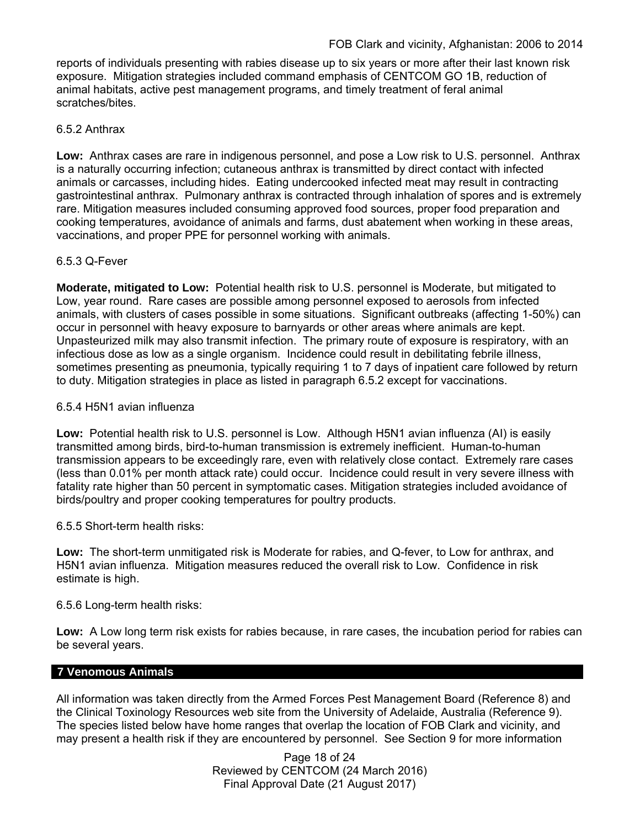reports of individuals presenting with rabies disease up to six years or more after their last known risk exposure. Mitigation strategies included command emphasis of CENTCOM GO 1B, reduction of animal habitats, active pest management programs, and timely treatment of feral animal scratches/bites.

# 6.5.2 Anthrax

**Low:** Anthrax cases are rare in indigenous personnel, and pose a Low risk to U.S. personnel. Anthrax is a naturally occurring infection; cutaneous anthrax is transmitted by direct contact with infected animals or carcasses, including hides. Eating undercooked infected meat may result in contracting gastrointestinal anthrax. Pulmonary anthrax is contracted through inhalation of spores and is extremely rare. Mitigation measures included consuming approved food sources, proper food preparation and cooking temperatures, avoidance of animals and farms, dust abatement when working in these areas, vaccinations, and proper PPE for personnel working with animals.

## 6.5.3 Q-Fever

**Moderate, mitigated to Low:** Potential health risk to U.S. personnel is Moderate, but mitigated to Low, year round. Rare cases are possible among personnel exposed to aerosols from infected animals, with clusters of cases possible in some situations. Significant outbreaks (affecting 1-50%) can occur in personnel with heavy exposure to barnyards or other areas where animals are kept. Unpasteurized milk may also transmit infection. The primary route of exposure is respiratory, with an infectious dose as low as a single organism. Incidence could result in debilitating febrile illness, sometimes presenting as pneumonia, typically requiring 1 to 7 days of inpatient care followed by return to duty. Mitigation strategies in place as listed in paragraph 6.5.2 except for vaccinations.

## 6.5.4 H5N1 avian influenza

**Low:** Potential health risk to U.S. personnel is Low. Although H5N1 avian influenza (AI) is easily transmitted among birds, bird-to-human transmission is extremely inefficient. Human-to-human transmission appears to be exceedingly rare, even with relatively close contact. Extremely rare cases (less than 0.01% per month attack rate) could occur. Incidence could result in very severe illness with fatality rate higher than 50 percent in symptomatic cases. Mitigation strategies included avoidance of birds/poultry and proper cooking temperatures for poultry products.

## 6.5.5 Short-term health risks:

**Low:** The short-term unmitigated risk is Moderate for rabies, and Q-fever, to Low for anthrax, and H5N1 avian influenza. Mitigation measures reduced the overall risk to Low.Confidence in risk estimate is high.

6.5.6 Long-term health risks:

**Low:** A Low long term risk exists for rabies because, in rare cases, the incubation period for rabies can be several years.

## **7 Venomous Animals**

All information was taken directly from the Armed Forces Pest Management Board (Reference 8) and the Clinical Toxinology Resources web site from the University of Adelaide, Australia (Reference 9). The species listed below have home ranges that overlap the location of FOB Clark and vicinity, and may present a health risk if they are encountered by personnel. See Section 9 for more information

> Page 18 of 24 Reviewed by CENTCOM (24 March 2016) Final Approval Date (21 August 2017)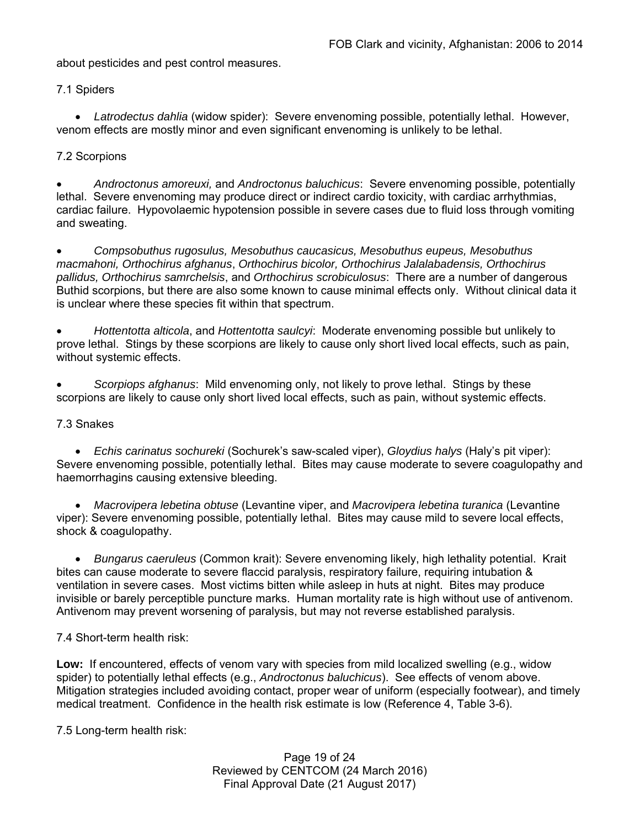about pesticides and pest control measures.

7.1 Spiders

 *Latrodectus dahlia* (widow spider): Severe envenoming possible, potentially lethal. However, venom effects are mostly minor and even significant envenoming is unlikely to be lethal.

# 7.2 Scorpions

 *Androctonus amoreuxi,* and *Androctonus baluchicus*: Severe envenoming possible, potentially lethal. Severe envenoming may produce direct or indirect cardio toxicity, with cardiac arrhythmias, cardiac failure. Hypovolaemic hypotension possible in severe cases due to fluid loss through vomiting and sweating.

 *Compsobuthus rugosulus, Mesobuthus caucasicus, Mesobuthus eupeus, Mesobuthus macmahoni, Orthochirus afghanus*, *Orthochirus bicolor, Orthochirus Jalalabadensis, Orthochirus pallidus, Orthochirus samrchelsis*, and *Orthochirus scrobiculosus*: There are a number of dangerous Buthid scorpions, but there are also some known to cause minimal effects only. Without clinical data it is unclear where these species fit within that spectrum.

 *Hottentotta alticola*, and *Hottentotta saulcyi*: Moderate envenoming possible but unlikely to prove lethal. Stings by these scorpions are likely to cause only short lived local effects, such as pain, without systemic effects.

 *Scorpiops afghanus*: Mild envenoming only, not likely to prove lethal. Stings by these scorpions are likely to cause only short lived local effects, such as pain, without systemic effects.

## 7.3 Snakes

 *Echis carinatus sochureki* (Sochurek's saw-scaled viper), *Gloydius halys* (Haly's pit viper): Severe envenoming possible, potentially lethal. Bites may cause moderate to severe coagulopathy and haemorrhagins causing extensive bleeding.

 *Macrovipera lebetina obtuse* (Levantine viper, and *Macrovipera lebetina turanica* (Levantine viper): Severe envenoming possible, potentially lethal. Bites may cause mild to severe local effects, shock & coagulopathy.

 *Bungarus caeruleus* (Common krait): Severe envenoming likely, high lethality potential. Krait bites can cause moderate to severe flaccid paralysis, respiratory failure, requiring intubation & ventilation in severe cases. Most victims bitten while asleep in huts at night. Bites may produce invisible or barely perceptible puncture marks. Human mortality rate is high without use of antivenom. Antivenom may prevent worsening of paralysis, but may not reverse established paralysis.

## 7.4 Short-term health risk:

**Low:** If encountered, effects of venom vary with species from mild localized swelling (e.g., widow spider) to potentially lethal effects (e.g., *Androctonus baluchicus*). See effects of venom above. Mitigation strategies included avoiding contact, proper wear of uniform (especially footwear), and timely medical treatment. Confidence in the health risk estimate is low (Reference 4, Table 3-6).

7.5 Long-term health risk:

Page 19 of 24 Reviewed by CENTCOM (24 March 2016) Final Approval Date (21 August 2017)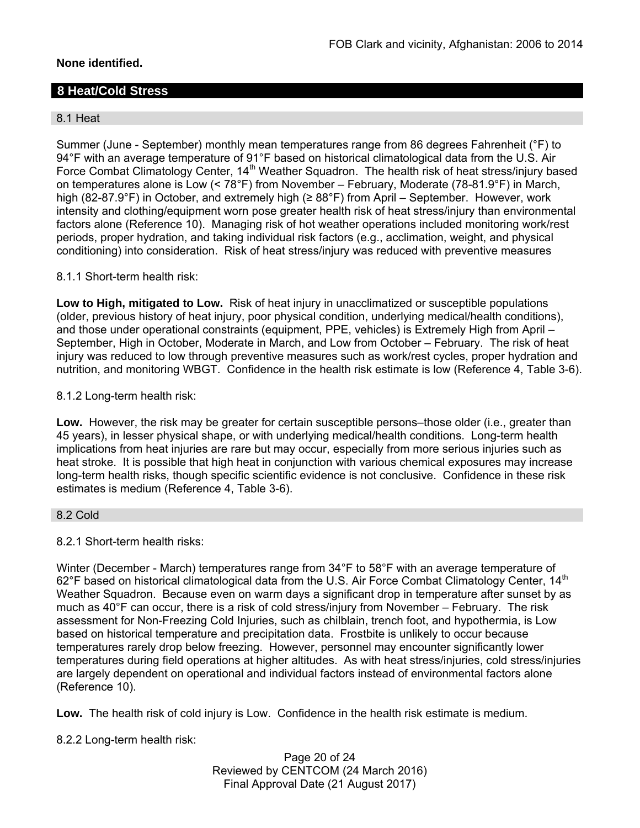# **None identified.**

# **8 Heat/Cold Stress**

## 8.1 Heat

Summer (June - September) monthly mean temperatures range from 86 degrees Fahrenheit (°F) to 94°F with an average temperature of 91°F based on historical climatological data from the U.S. Air Force Combat Climatology Center, 14<sup>th</sup> Weather Squadron. The health risk of heat stress/injury based on temperatures alone is Low (< 78°F) from November – February, Moderate (78-81.9°F) in March, high (82-87.9°F) in October, and extremely high (≥ 88°F) from April – September. However, work intensity and clothing/equipment worn pose greater health risk of heat stress/injury than environmental factors alone (Reference 10). Managing risk of hot weather operations included monitoring work/rest periods, proper hydration, and taking individual risk factors (e.g., acclimation, weight, and physical conditioning) into consideration. Risk of heat stress/injury was reduced with preventive measures

8.1.1 Short-term health risk:

**Low to High, mitigated to Low.** Risk of heat injury in unacclimatized or susceptible populations (older, previous history of heat injury, poor physical condition, underlying medical/health conditions), and those under operational constraints (equipment, PPE, vehicles) is Extremely High from April – September, High in October, Moderate in March, and Low from October – February. The risk of heat injury was reduced to low through preventive measures such as work/rest cycles, proper hydration and nutrition, and monitoring WBGT. Confidence in the health risk estimate is low (Reference 4, Table 3-6).

### 8.1.2 Long-term health risk:

**Low.** However, the risk may be greater for certain susceptible persons–those older (i.e., greater than 45 years), in lesser physical shape, or with underlying medical/health conditions. Long-term health implications from heat injuries are rare but may occur, especially from more serious injuries such as heat stroke. It is possible that high heat in conjunction with various chemical exposures may increase long-term health risks, though specific scientific evidence is not conclusive. Confidence in these risk estimates is medium (Reference 4, Table 3-6).

#### 8.2 Cold

## 8.2.1 Short-term health risks:

Winter (December - March) temperatures range from 34°F to 58°F with an average temperature of 62°F based on historical climatological data from the U.S. Air Force Combat Climatology Center, 14<sup>th</sup> Weather Squadron. Because even on warm days a significant drop in temperature after sunset by as much as 40°F can occur, there is a risk of cold stress/injury from November – February. The risk assessment for Non-Freezing Cold Injuries, such as chilblain, trench foot, and hypothermia, is Low based on historical temperature and precipitation data. Frostbite is unlikely to occur because temperatures rarely drop below freezing. However, personnel may encounter significantly lower temperatures during field operations at higher altitudes. As with heat stress/injuries, cold stress/injuries are largely dependent on operational and individual factors instead of environmental factors alone (Reference 10).

**Low.** The health risk of cold injury is Low. Confidence in the health risk estimate is medium.

8.2.2 Long-term health risk:

Page 20 of 24 Reviewed by CENTCOM (24 March 2016) Final Approval Date (21 August 2017)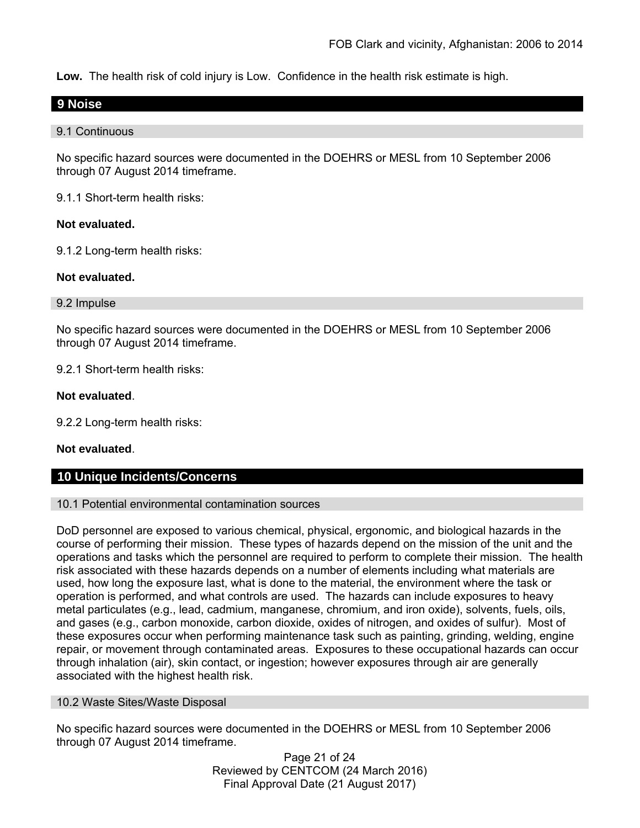**Low.** The health risk of cold injury is Low. Confidence in the health risk estimate is high.

## **9 Noise**

#### 9.1 Continuous

No specific hazard sources were documented in the DOEHRS or MESL from 10 September 2006 through 07 August 2014 timeframe.

9.1.1 Short-term health risks:

### **Not evaluated.**

9.1.2 Long-term health risks:

### **Not evaluated.**

#### 9.2 Impulse

No specific hazard sources were documented in the DOEHRS or MESL from 10 September 2006 through 07 August 2014 timeframe.

9.2.1 Short-term health risks:

### **Not evaluated**.

9.2.2 Long-term health risks:

#### **Not evaluated**.

# **10 Unique Incidents/Concerns**

#### 10.1 Potential environmental contamination sources

DoD personnel are exposed to various chemical, physical, ergonomic, and biological hazards in the course of performing their mission. These types of hazards depend on the mission of the unit and the operations and tasks which the personnel are required to perform to complete their mission. The health risk associated with these hazards depends on a number of elements including what materials are used, how long the exposure last, what is done to the material, the environment where the task or operation is performed, and what controls are used. The hazards can include exposures to heavy metal particulates (e.g., lead, cadmium, manganese, chromium, and iron oxide), solvents, fuels, oils, and gases (e.g., carbon monoxide, carbon dioxide, oxides of nitrogen, and oxides of sulfur). Most of these exposures occur when performing maintenance task such as painting, grinding, welding, engine repair, or movement through contaminated areas. Exposures to these occupational hazards can occur through inhalation (air), skin contact, or ingestion; however exposures through air are generally associated with the highest health risk.

#### 10.2 Waste Sites/Waste Disposal

No specific hazard sources were documented in the DOEHRS or MESL from 10 September 2006 through 07 August 2014 timeframe.

> Page 21 of 24 Reviewed by CENTCOM (24 March 2016) Final Approval Date (21 August 2017)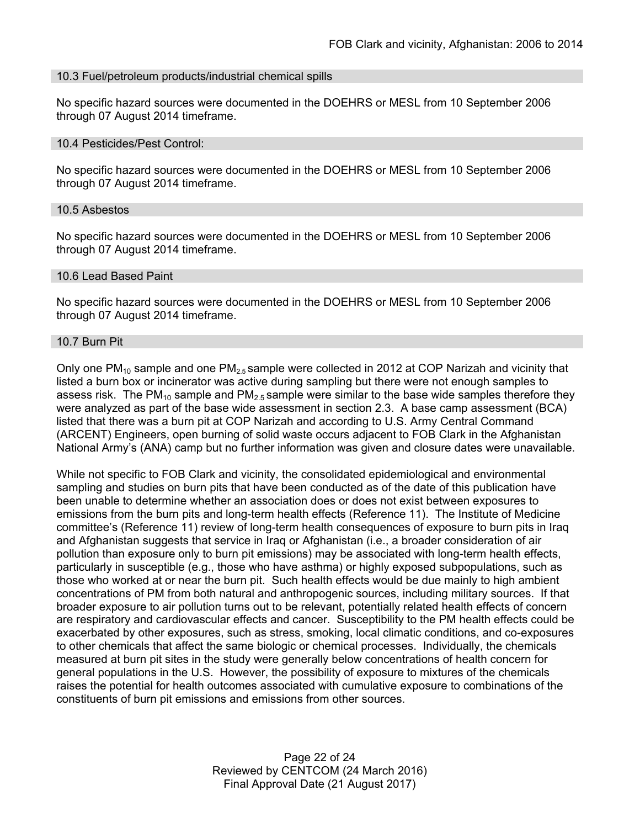#### 10.3 Fuel/petroleum products/industrial chemical spills

No specific hazard sources were documented in the DOEHRS or MESL from 10 September 2006 through 07 August 2014 timeframe.

#### 10.4 Pesticides/Pest Control:

No specific hazard sources were documented in the DOEHRS or MESL from 10 September 2006 through 07 August 2014 timeframe.

#### 10.5 Asbestos

No specific hazard sources were documented in the DOEHRS or MESL from 10 September 2006 through 07 August 2014 timeframe.

#### 10.6 Lead Based Paint

No specific hazard sources were documented in the DOEHRS or MESL from 10 September 2006 through 07 August 2014 timeframe.

#### 10.7 Burn Pit

Only one  $PM_{10}$  sample and one  $PM_{2.5}$  sample were collected in 2012 at COP Narizah and vicinity that listed a burn box or incinerator was active during sampling but there were not enough samples to assess risk. The PM<sub>10</sub> sample and PM<sub>2.5</sub> sample were similar to the base wide samples therefore they were analyzed as part of the base wide assessment in section 2.3. A base camp assessment (BCA) listed that there was a burn pit at COP Narizah and according to U.S. Army Central Command (ARCENT) Engineers, open burning of solid waste occurs adjacent to FOB Clark in the Afghanistan National Army's (ANA) camp but no further information was given and closure dates were unavailable.

While not specific to FOB Clark and vicinity, the consolidated epidemiological and environmental sampling and studies on burn pits that have been conducted as of the date of this publication have been unable to determine whether an association does or does not exist between exposures to emissions from the burn pits and long-term health effects (Reference 11). The Institute of Medicine committee's (Reference 11) review of long-term health consequences of exposure to burn pits in Iraq and Afghanistan suggests that service in Iraq or Afghanistan (i.e., a broader consideration of air pollution than exposure only to burn pit emissions) may be associated with long-term health effects, particularly in susceptible (e.g., those who have asthma) or highly exposed subpopulations, such as those who worked at or near the burn pit. Such health effects would be due mainly to high ambient concentrations of PM from both natural and anthropogenic sources, including military sources. If that broader exposure to air pollution turns out to be relevant, potentially related health effects of concern are respiratory and cardiovascular effects and cancer. Susceptibility to the PM health effects could be exacerbated by other exposures, such as stress, smoking, local climatic conditions, and co-exposures to other chemicals that affect the same biologic or chemical processes. Individually, the chemicals measured at burn pit sites in the study were generally below concentrations of health concern for general populations in the U.S. However, the possibility of exposure to mixtures of the chemicals raises the potential for health outcomes associated with cumulative exposure to combinations of the constituents of burn pit emissions and emissions from other sources.

> Page 22 of 24 Reviewed by CENTCOM (24 March 2016) Final Approval Date (21 August 2017)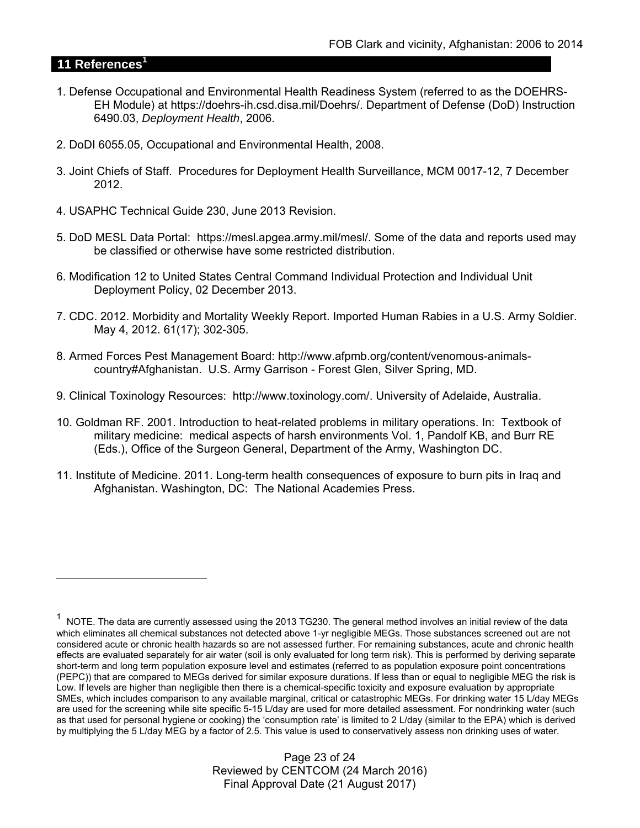# **11 References<sup>1</sup>**

 $\overline{a}$ 

- 1. Defense Occupational and Environmental Health Readiness System (referred to as the DOEHRS-EH Module) at https://doehrs-ih.csd.disa.mil/Doehrs/. Department of Defense (DoD) Instruction 6490.03, *Deployment Health*, 2006.
- 2. DoDI 6055.05, Occupational and Environmental Health, 2008.
- 3. Joint Chiefs of Staff. Procedures for Deployment Health Surveillance, MCM 0017-12, 7 December 2012.
- 4. USAPHC Technical Guide 230, June 2013 Revision.
- 5. DoD MESL Data Portal: https://mesl.apgea.army.mil/mesl/. Some of the data and reports used may be classified or otherwise have some restricted distribution.
- 6. Modification 12 to United States Central Command Individual Protection and Individual Unit Deployment Policy, 02 December 2013.
- 7. CDC. 2012. Morbidity and Mortality Weekly Report. Imported Human Rabies in a U.S. Army Soldier. May 4, 2012. 61(17); 302-305.
- 8. Armed Forces Pest Management Board: http://www.afpmb.org/content/venomous-animalscountry#Afghanistan. U.S. Army Garrison - Forest Glen, Silver Spring, MD.
- 9. Clinical Toxinology Resources: http://www.toxinology.com/. University of Adelaide, Australia.
- 10. Goldman RF. 2001. Introduction to heat-related problems in military operations. In: Textbook of military medicine: medical aspects of harsh environments Vol. 1, Pandolf KB, and Burr RE (Eds.), Office of the Surgeon General, Department of the Army, Washington DC.
- 11. Institute of Medicine. 2011. Long-term health consequences of exposure to burn pits in Iraq and Afghanistan. Washington, DC: The National Academies Press.

 $1$  NOTE. The data are currently assessed using the 2013 TG230. The general method involves an initial review of the data which eliminates all chemical substances not detected above 1-yr negligible MEGs. Those substances screened out are not considered acute or chronic health hazards so are not assessed further. For remaining substances, acute and chronic health effects are evaluated separately for air water (soil is only evaluated for long term risk). This is performed by deriving separate short-term and long term population exposure level and estimates (referred to as population exposure point concentrations (PEPC)) that are compared to MEGs derived for similar exposure durations. If less than or equal to negligible MEG the risk is Low. If levels are higher than negligible then there is a chemical-specific toxicity and exposure evaluation by appropriate SMEs, which includes comparison to any available marginal, critical or catastrophic MEGs. For drinking water 15 L/day MEGs are used for the screening while site specific 5-15 L/day are used for more detailed assessment. For nondrinking water (such as that used for personal hygiene or cooking) the 'consumption rate' is limited to 2 L/day (similar to the EPA) which is derived by multiplying the 5 L/day MEG by a factor of 2.5. This value is used to conservatively assess non drinking uses of water.